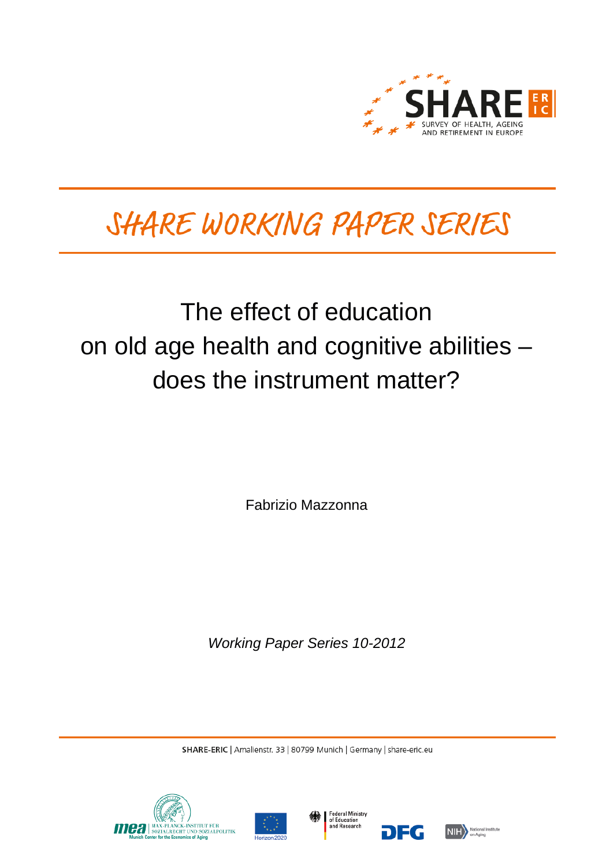

# SHARE WORKING PAPER SERIES

## The effect of education on old age health and cognitive abilities – does the instrument matter?

Fabrizio Mazzonna

*Working Paper Series 10-2012*

SHARE-ERIC | Amalienstr. 33 | 80799 Munich | Germany | share-eric.eu







DEG

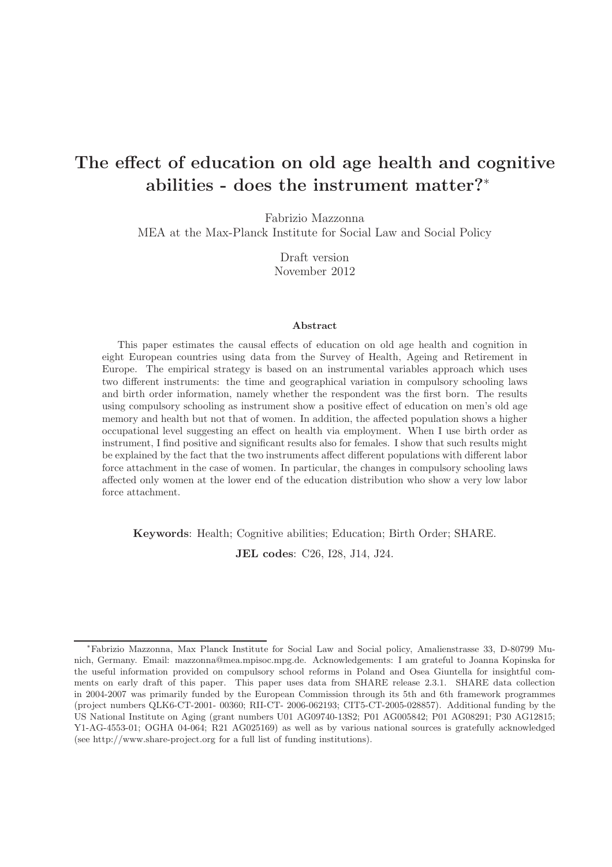## The effect of education on old age health and cognitive abilities - does the instrument matter?<sup>∗</sup>

Fabrizio Mazzonna

MEA at the Max-Planck Institute for Social Law and Social Policy

Draft version November 2012

#### Abstract

This paper estimates the causal effects of education on old age health and cognition in eight European countries using data from the Survey of Health, Ageing and Retirement in Europe. The empirical strategy is based on an instrumental variables approach which uses two different instruments: the time and geographical variation in compulsory schooling laws and birth order information, namely whether the respondent was the first born. The results using compulsory schooling as instrument show a positive effect of education on men's old age memory and health but not that of women. In addition, the affected population shows a higher occupational level suggesting an effect on health via employment. When I use birth order as instrument, I find positive and significant results also for females. I show that such results might be explained by the fact that the two instruments affect different populations with different labor force attachment in the case of women. In particular, the changes in compulsory schooling laws affected only women at the lower end of the education distribution who show a very low labor force attachment.

Keywords: Health; Cognitive abilities; Education; Birth Order; SHARE.

JEL codes: C26, I28, J14, J24.

<sup>∗</sup>Fabrizio Mazzonna, Max Planck Institute for Social Law and Social policy, Amalienstrasse 33, D-80799 Munich, Germany. Email: mazzonna@mea.mpisoc.mpg.de. Acknowledgements: I am grateful to Joanna Kopinska for the useful information provided on compulsory school reforms in Poland and Osea Giuntella for insightful comments on early draft of this paper. This paper uses data from SHARE release 2.3.1. SHARE data collection in 2004-2007 was primarily funded by the European Commission through its 5th and 6th framework programmes (project numbers QLK6-CT-2001- 00360; RII-CT- 2006-062193; CIT5-CT-2005-028857). Additional funding by the US National Institute on Aging (grant numbers U01 AG09740-13S2; P01 AG005842; P01 AG08291; P30 AG12815; Y1-AG-4553-01; OGHA 04-064; R21 AG025169) as well as by various national sources is gratefully acknowledged (see http://www.share-project.org for a full list of funding institutions).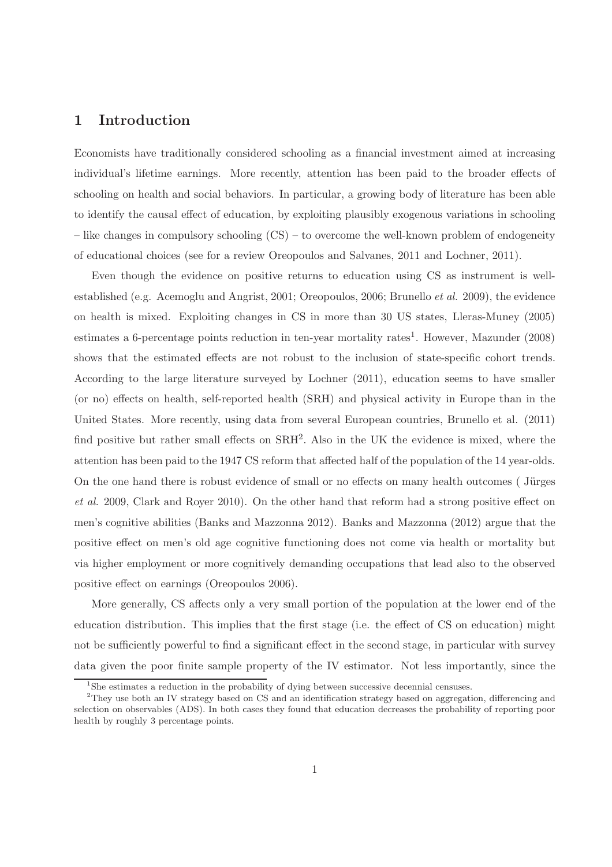## 1 Introduction

Economists have traditionally considered schooling as a financial investment aimed at increasing individual's lifetime earnings. More recently, attention has been paid to the broader effects of schooling on health and social behaviors. In particular, a growing body of literature has been able to identify the causal effect of education, by exploiting plausibly exogenous variations in schooling – like changes in compulsory schooling (CS) – to overcome the well-known problem of endogeneity of educational choices (see for a review Oreopoulos and Salvanes, 2011 and Lochner, 2011).

Even though the evidence on positive returns to education using CS as instrument is wellestablished (e.g. Acemoglu and Angrist, 2001; Oreopoulos, 2006; Brunello et al. 2009), the evidence on health is mixed. Exploiting changes in CS in more than 30 US states, Lleras-Muney (2005) estimates a 6-percentage points reduction in ten-year mortality rates<sup>1</sup>. However, Mazunder (2008) shows that the estimated effects are not robust to the inclusion of state-specific cohort trends. According to the large literature surveyed by Lochner (2011), education seems to have smaller (or no) effects on health, self-reported health (SRH) and physical activity in Europe than in the United States. More recently, using data from several European countries, Brunello et al. (2011) find positive but rather small effects on  $\text{SRH}^2$ . Also in the UK the evidence is mixed, where the attention has been paid to the 1947 CS reform that affected half of the population of the 14 year-olds. On the one hand there is robust evidence of small or no effects on many health outcomes (Jürges et al. 2009, Clark and Royer 2010). On the other hand that reform had a strong positive effect on men's cognitive abilities (Banks and Mazzonna 2012). Banks and Mazzonna (2012) argue that the positive effect on men's old age cognitive functioning does not come via health or mortality but via higher employment or more cognitively demanding occupations that lead also to the observed positive effect on earnings (Oreopoulos 2006).

More generally, CS affects only a very small portion of the population at the lower end of the education distribution. This implies that the first stage (i.e. the effect of CS on education) might not be sufficiently powerful to find a significant effect in the second stage, in particular with survey data given the poor finite sample property of the IV estimator. Not less importantly, since the

<sup>&</sup>lt;sup>1</sup>She estimates a reduction in the probability of dying between successive decennial censuses.

<sup>&</sup>lt;sup>2</sup>They use both an IV strategy based on CS and an identification strategy based on aggregation, differencing and selection on observables (ADS). In both cases they found that education decreases the probability of reporting poor health by roughly 3 percentage points.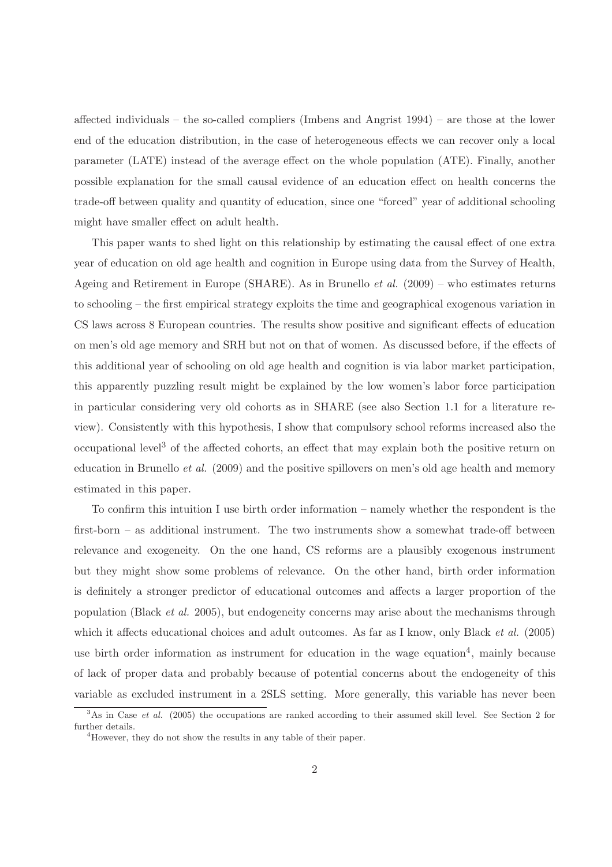affected individuals – the so-called compliers (Imbens and Angrist 1994) – are those at the lower end of the education distribution, in the case of heterogeneous effects we can recover only a local parameter (LATE) instead of the average effect on the whole population (ATE). Finally, another possible explanation for the small causal evidence of an education effect on health concerns the trade-off between quality and quantity of education, since one "forced" year of additional schooling might have smaller effect on adult health.

This paper wants to shed light on this relationship by estimating the causal effect of one extra year of education on old age health and cognition in Europe using data from the Survey of Health, Ageing and Retirement in Europe (SHARE). As in Brunello *et al.* (2009) – who estimates returns to schooling – the first empirical strategy exploits the time and geographical exogenous variation in CS laws across 8 European countries. The results show positive and significant effects of education on men's old age memory and SRH but not on that of women. As discussed before, if the effects of this additional year of schooling on old age health and cognition is via labor market participation, this apparently puzzling result might be explained by the low women's labor force participation in particular considering very old cohorts as in SHARE (see also Section 1.1 for a literature review). Consistently with this hypothesis, I show that compulsory school reforms increased also the occupational level<sup>3</sup> of the affected cohorts, an effect that may explain both the positive return on education in Brunello et al. (2009) and the positive spillovers on men's old age health and memory estimated in this paper.

To confirm this intuition I use birth order information – namely whether the respondent is the first-born – as additional instrument. The two instruments show a somewhat trade-off between relevance and exogeneity. On the one hand, CS reforms are a plausibly exogenous instrument but they might show some problems of relevance. On the other hand, birth order information is definitely a stronger predictor of educational outcomes and affects a larger proportion of the population (Black et al. 2005), but endogeneity concerns may arise about the mechanisms through which it affects educational choices and adult outcomes. As far as I know, only Black *et al.* (2005) use birth order information as instrument for education in the wage equation<sup>4</sup>, mainly because of lack of proper data and probably because of potential concerns about the endogeneity of this variable as excluded instrument in a 2SLS setting. More generally, this variable has never been

 $3\text{As}$  in Case *et al.* (2005) the occupations are ranked according to their assumed skill level. See Section 2 for further details.

 $4$ However, they do not show the results in any table of their paper.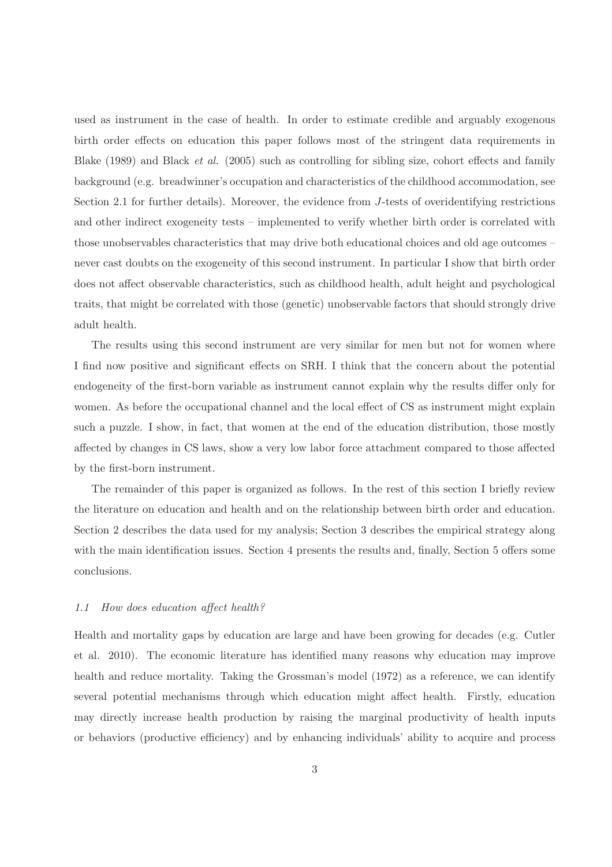used as instrument in the case of health. In order to estimate credible and arguably exogenous birth order effects on education this paper follows most of the stringent data requirements in Blake (1989) and Black et al. (2005) such as controlling for sibling size, cohort effects and family background (e.g. breadwinner's occupation and characteristics of the childhood accommodation, see Section 2.1 for further details). Moreover, the evidence from J-tests of overidentifying restrictions and other indirect exogeneity tests – implemented to verify whether birth order is correlated with those unobservables characteristics that may drive both educational choices and old age outcomes – never cast doubts on the exogeneity of this second instrument. In particular I show that birth order does not affect observable characteristics, such as childhood health, adult height and psychological traits, that might be correlated with those (genetic) unobservable factors that should strongly drive adult health.

The results using this second instrument are very similar for men but not for women where I find now positive and significant effects on SRH. I think that the concern about the potential endogeneity of the first-born variable as instrument cannot explain why the results differ only for women. As before the occupational channel and the local effect of CS as instrument might explain such a puzzle. I show, in fact, that women at the end of the education distribution, those mostly affected by changes in CS laws, show a very low labor force attachment compared to those affected by the first-born instrument.

The remainder of this paper is organized as follows. In the rest of this section I briefly review the literature on education and health and on the relationship between birth order and education. Section 2 describes the data used for my analysis; Section 3 describes the empirical strategy along with the main identification issues. Section 4 presents the results and, finally, Section 5 offers some conclusions.

### 1.1 How does education affect health?

Health and mortality gaps by education are large and have been growing for decades (e.g. Cutler et al. 2010). The economic literature has identified many reasons why education may improve health and reduce mortality. Taking the Grossman's model (1972) as a reference, we can identify several potential mechanisms through which education might affect health. Firstly, education may directly increase health production by raising the marginal productivity of health inputs or behaviors (productive efficiency) and by enhancing individuals' ability to acquire and process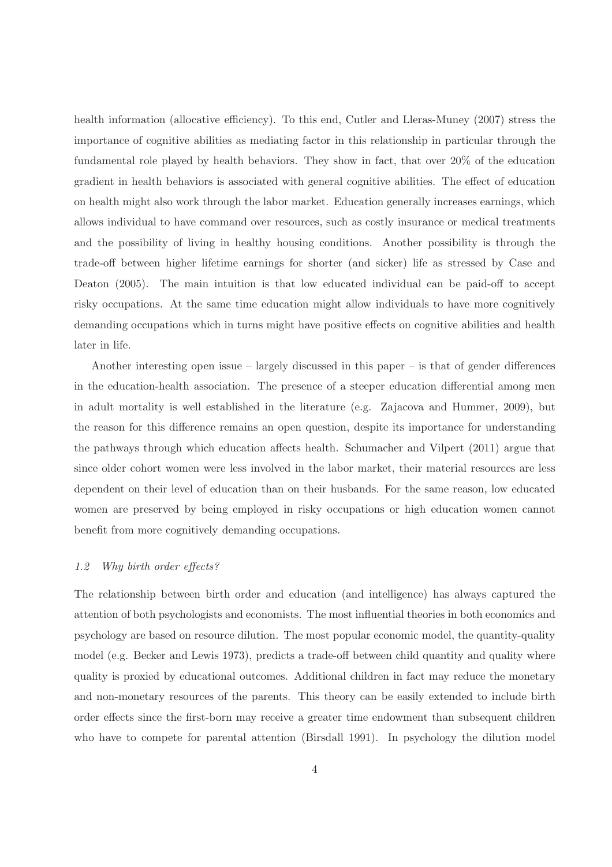health information (allocative efficiency). To this end, Cutler and Lleras-Muney (2007) stress the importance of cognitive abilities as mediating factor in this relationship in particular through the fundamental role played by health behaviors. They show in fact, that over 20% of the education gradient in health behaviors is associated with general cognitive abilities. The effect of education on health might also work through the labor market. Education generally increases earnings, which allows individual to have command over resources, such as costly insurance or medical treatments and the possibility of living in healthy housing conditions. Another possibility is through the trade-off between higher lifetime earnings for shorter (and sicker) life as stressed by Case and Deaton (2005). The main intuition is that low educated individual can be paid-off to accept risky occupations. At the same time education might allow individuals to have more cognitively demanding occupations which in turns might have positive effects on cognitive abilities and health later in life.

Another interesting open issue – largely discussed in this paper – is that of gender differences in the education-health association. The presence of a steeper education differential among men in adult mortality is well established in the literature (e.g. Zajacova and Hummer, 2009), but the reason for this difference remains an open question, despite its importance for understanding the pathways through which education affects health. Schumacher and Vilpert (2011) argue that since older cohort women were less involved in the labor market, their material resources are less dependent on their level of education than on their husbands. For the same reason, low educated women are preserved by being employed in risky occupations or high education women cannot benefit from more cognitively demanding occupations.

## 1.2 Why birth order effects?

The relationship between birth order and education (and intelligence) has always captured the attention of both psychologists and economists. The most influential theories in both economics and psychology are based on resource dilution. The most popular economic model, the quantity-quality model (e.g. Becker and Lewis 1973), predicts a trade-off between child quantity and quality where quality is proxied by educational outcomes. Additional children in fact may reduce the monetary and non-monetary resources of the parents. This theory can be easily extended to include birth order effects since the first-born may receive a greater time endowment than subsequent children who have to compete for parental attention (Birsdall 1991). In psychology the dilution model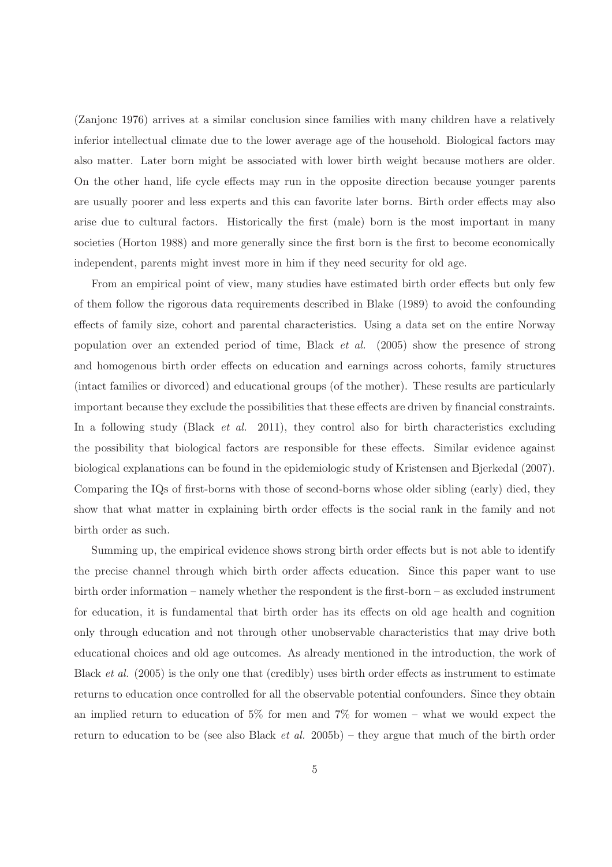(Zanjonc 1976) arrives at a similar conclusion since families with many children have a relatively inferior intellectual climate due to the lower average age of the household. Biological factors may also matter. Later born might be associated with lower birth weight because mothers are older. On the other hand, life cycle effects may run in the opposite direction because younger parents are usually poorer and less experts and this can favorite later borns. Birth order effects may also arise due to cultural factors. Historically the first (male) born is the most important in many societies (Horton 1988) and more generally since the first born is the first to become economically independent, parents might invest more in him if they need security for old age.

From an empirical point of view, many studies have estimated birth order effects but only few of them follow the rigorous data requirements described in Blake (1989) to avoid the confounding effects of family size, cohort and parental characteristics. Using a data set on the entire Norway population over an extended period of time, Black et al. (2005) show the presence of strong and homogenous birth order effects on education and earnings across cohorts, family structures (intact families or divorced) and educational groups (of the mother). These results are particularly important because they exclude the possibilities that these effects are driven by financial constraints. In a following study (Black *et al.* 2011), they control also for birth characteristics excluding the possibility that biological factors are responsible for these effects. Similar evidence against biological explanations can be found in the epidemiologic study of Kristensen and Bjerkedal (2007). Comparing the IQs of first-borns with those of second-borns whose older sibling (early) died, they show that what matter in explaining birth order effects is the social rank in the family and not birth order as such.

Summing up, the empirical evidence shows strong birth order effects but is not able to identify the precise channel through which birth order affects education. Since this paper want to use birth order information – namely whether the respondent is the first-born – as excluded instrument for education, it is fundamental that birth order has its effects on old age health and cognition only through education and not through other unobservable characteristics that may drive both educational choices and old age outcomes. As already mentioned in the introduction, the work of Black *et al.* (2005) is the only one that (credibly) uses birth order effects as instrument to estimate returns to education once controlled for all the observable potential confounders. Since they obtain an implied return to education of 5% for men and 7% for women – what we would expect the return to education to be (see also Black *et al.* 2005b) – they argue that much of the birth order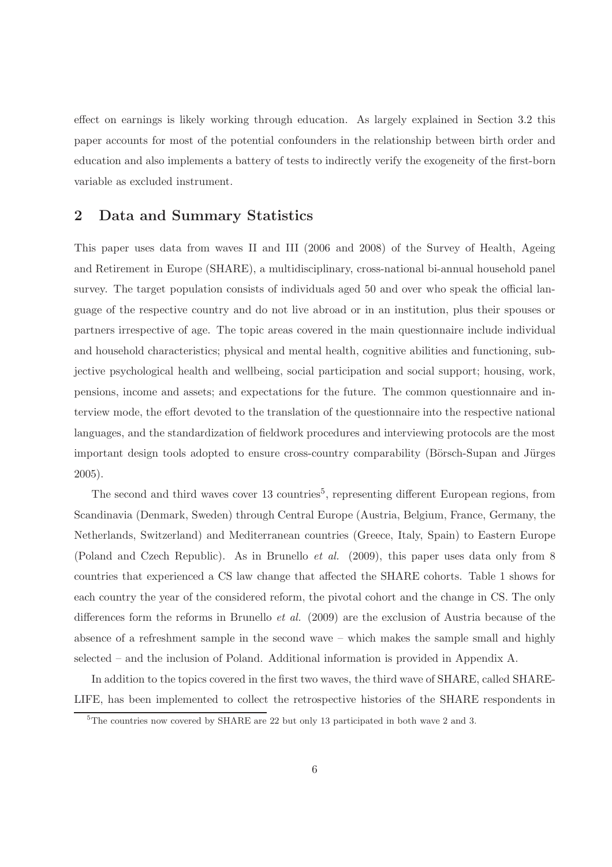effect on earnings is likely working through education. As largely explained in Section 3.2 this paper accounts for most of the potential confounders in the relationship between birth order and education and also implements a battery of tests to indirectly verify the exogeneity of the first-born variable as excluded instrument.

## 2 Data and Summary Statistics

This paper uses data from waves II and III (2006 and 2008) of the Survey of Health, Ageing and Retirement in Europe (SHARE), a multidisciplinary, cross-national bi-annual household panel survey. The target population consists of individuals aged 50 and over who speak the official language of the respective country and do not live abroad or in an institution, plus their spouses or partners irrespective of age. The topic areas covered in the main questionnaire include individual and household characteristics; physical and mental health, cognitive abilities and functioning, subjective psychological health and wellbeing, social participation and social support; housing, work, pensions, income and assets; and expectations for the future. The common questionnaire and interview mode, the effort devoted to the translation of the questionnaire into the respective national languages, and the standardization of fieldwork procedures and interviewing protocols are the most important design tools adopted to ensure cross-country comparability (Börsch-Supan and Jürges 2005).

The second and third waves cover 13 countries<sup>5</sup>, representing different European regions, from Scandinavia (Denmark, Sweden) through Central Europe (Austria, Belgium, France, Germany, the Netherlands, Switzerland) and Mediterranean countries (Greece, Italy, Spain) to Eastern Europe (Poland and Czech Republic). As in Brunello et al. (2009), this paper uses data only from 8 countries that experienced a CS law change that affected the SHARE cohorts. Table 1 shows for each country the year of the considered reform, the pivotal cohort and the change in CS. The only differences form the reforms in Brunello et al. (2009) are the exclusion of Austria because of the absence of a refreshment sample in the second wave – which makes the sample small and highly selected – and the inclusion of Poland. Additional information is provided in Appendix A.

In addition to the topics covered in the first two waves, the third wave of SHARE, called SHARE-LIFE, has been implemented to collect the retrospective histories of the SHARE respondents in

<sup>5</sup>The countries now covered by SHARE are 22 but only 13 participated in both wave 2 and 3.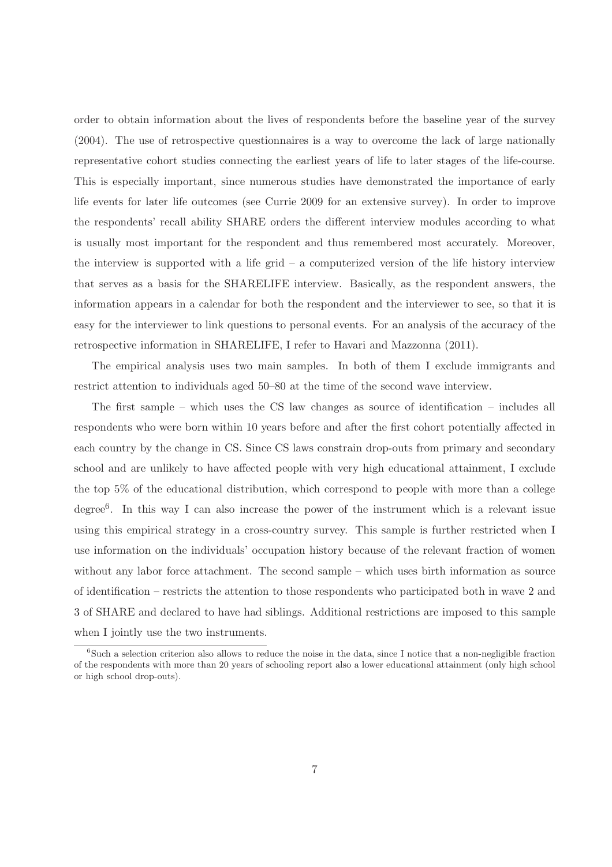order to obtain information about the lives of respondents before the baseline year of the survey (2004). The use of retrospective questionnaires is a way to overcome the lack of large nationally representative cohort studies connecting the earliest years of life to later stages of the life-course. This is especially important, since numerous studies have demonstrated the importance of early life events for later life outcomes (see Currie 2009 for an extensive survey). In order to improve the respondents' recall ability SHARE orders the different interview modules according to what is usually most important for the respondent and thus remembered most accurately. Moreover, the interview is supported with a life grid – a computerized version of the life history interview that serves as a basis for the SHARELIFE interview. Basically, as the respondent answers, the information appears in a calendar for both the respondent and the interviewer to see, so that it is easy for the interviewer to link questions to personal events. For an analysis of the accuracy of the retrospective information in SHARELIFE, I refer to Havari and Mazzonna (2011).

The empirical analysis uses two main samples. In both of them I exclude immigrants and restrict attention to individuals aged 50–80 at the time of the second wave interview.

The first sample – which uses the CS law changes as source of identification – includes all respondents who were born within 10 years before and after the first cohort potentially affected in each country by the change in CS. Since CS laws constrain drop-outs from primary and secondary school and are unlikely to have affected people with very high educational attainment, I exclude the top 5% of the educational distribution, which correspond to people with more than a college degree<sup>6</sup> . In this way I can also increase the power of the instrument which is a relevant issue using this empirical strategy in a cross-country survey. This sample is further restricted when I use information on the individuals' occupation history because of the relevant fraction of women without any labor force attachment. The second sample – which uses birth information as source of identification – restricts the attention to those respondents who participated both in wave 2 and 3 of SHARE and declared to have had siblings. Additional restrictions are imposed to this sample when I jointly use the two instruments.

<sup>&</sup>lt;sup>6</sup>Such a selection criterion also allows to reduce the noise in the data, since I notice that a non-negligible fraction of the respondents with more than 20 years of schooling report also a lower educational attainment (only high school or high school drop-outs).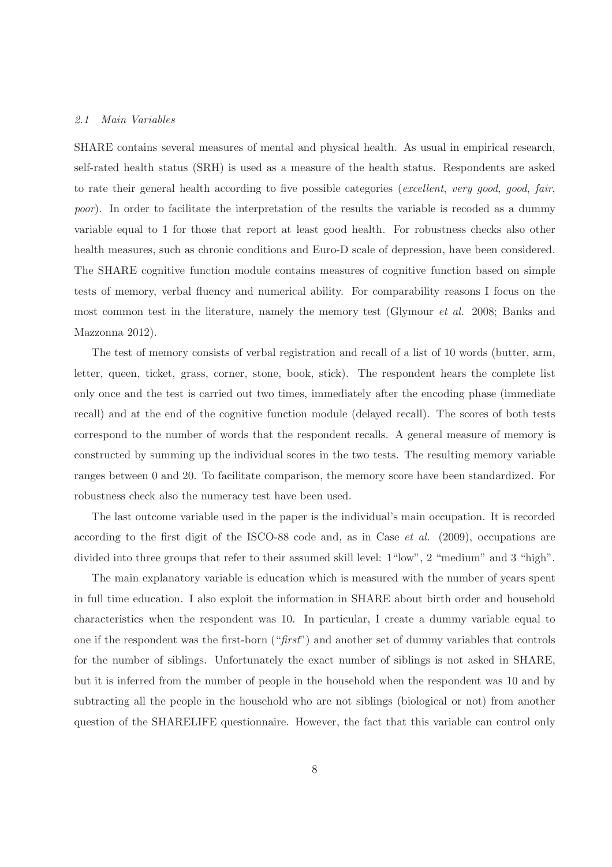#### 2.1 Main Variables

SHARE contains several measures of mental and physical health. As usual in empirical research, self-rated health status (SRH) is used as a measure of the health status. Respondents are asked to rate their general health according to five possible categories (excellent, very good, good, fair, poor). In order to facilitate the interpretation of the results the variable is recoded as a dummy variable equal to 1 for those that report at least good health. For robustness checks also other health measures, such as chronic conditions and Euro-D scale of depression, have been considered. The SHARE cognitive function module contains measures of cognitive function based on simple tests of memory, verbal fluency and numerical ability. For comparability reasons I focus on the most common test in the literature, namely the memory test (Glymour et al. 2008; Banks and Mazzonna 2012).

The test of memory consists of verbal registration and recall of a list of 10 words (butter, arm, letter, queen, ticket, grass, corner, stone, book, stick). The respondent hears the complete list only once and the test is carried out two times, immediately after the encoding phase (immediate recall) and at the end of the cognitive function module (delayed recall). The scores of both tests correspond to the number of words that the respondent recalls. A general measure of memory is constructed by summing up the individual scores in the two tests. The resulting memory variable ranges between 0 and 20. To facilitate comparison, the memory score have been standardized. For robustness check also the numeracy test have been used.

The last outcome variable used in the paper is the individual's main occupation. It is recorded according to the first digit of the ISCO-88 code and, as in Case *et al.* (2009), occupations are divided into three groups that refer to their assumed skill level: 1"low", 2 "medium" and 3 "high".

The main explanatory variable is education which is measured with the number of years spent in full time education. I also exploit the information in SHARE about birth order and household characteristics when the respondent was 10. In particular, I create a dummy variable equal to one if the respondent was the first-born  $("first")$  and another set of dummy variables that controls for the number of siblings. Unfortunately the exact number of siblings is not asked in SHARE, but it is inferred from the number of people in the household when the respondent was 10 and by subtracting all the people in the household who are not siblings (biological or not) from another question of the SHARELIFE questionnaire. However, the fact that this variable can control only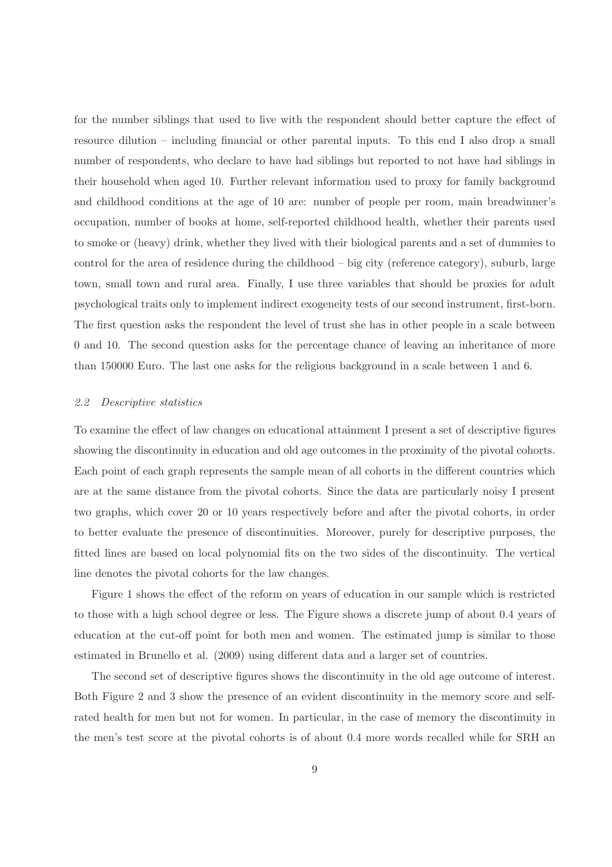for the number siblings that used to live with the respondent should better capture the effect of resource dilution – including financial or other parental inputs. To this end I also drop a small number of respondents, who declare to have had siblings but reported to not have had siblings in their household when aged 10. Further relevant information used to proxy for family background and childhood conditions at the age of 10 are: number of people per room, main breadwinner's occupation, number of books at home, self-reported childhood health, whether their parents used to smoke or (heavy) drink, whether they lived with their biological parents and a set of dummies to control for the area of residence during the childhood – big city (reference category), suburb, large town, small town and rural area. Finally, I use three variables that should be proxies for adult psychological traits only to implement indirect exogeneity tests of our second instrument, first-born. The first question asks the respondent the level of trust she has in other people in a scale between 0 and 10. The second question asks for the percentage chance of leaving an inheritance of more than 150000 Euro. The last one asks for the religious background in a scale between 1 and 6.

### 2.2 Descriptive statistics

To examine the effect of law changes on educational attainment I present a set of descriptive figures showing the discontinuity in education and old age outcomes in the proximity of the pivotal cohorts. Each point of each graph represents the sample mean of all cohorts in the different countries which are at the same distance from the pivotal cohorts. Since the data are particularly noisy I present two graphs, which cover 20 or 10 years respectively before and after the pivotal cohorts, in order to better evaluate the presence of discontinuities. Moreover, purely for descriptive purposes, the fitted lines are based on local polynomial fits on the two sides of the discontinuity. The vertical line denotes the pivotal cohorts for the law changes.

Figure 1 shows the effect of the reform on years of education in our sample which is restricted to those with a high school degree or less. The Figure shows a discrete jump of about 0.4 years of education at the cut-off point for both men and women. The estimated jump is similar to those estimated in Brunello et al. (2009) using different data and a larger set of countries.

The second set of descriptive figures shows the discontinuity in the old age outcome of interest. Both Figure 2 and 3 show the presence of an evident discontinuity in the memory score and selfrated health for men but not for women. In particular, in the case of memory the discontinuity in the men's test score at the pivotal cohorts is of about 0.4 more words recalled while for SRH an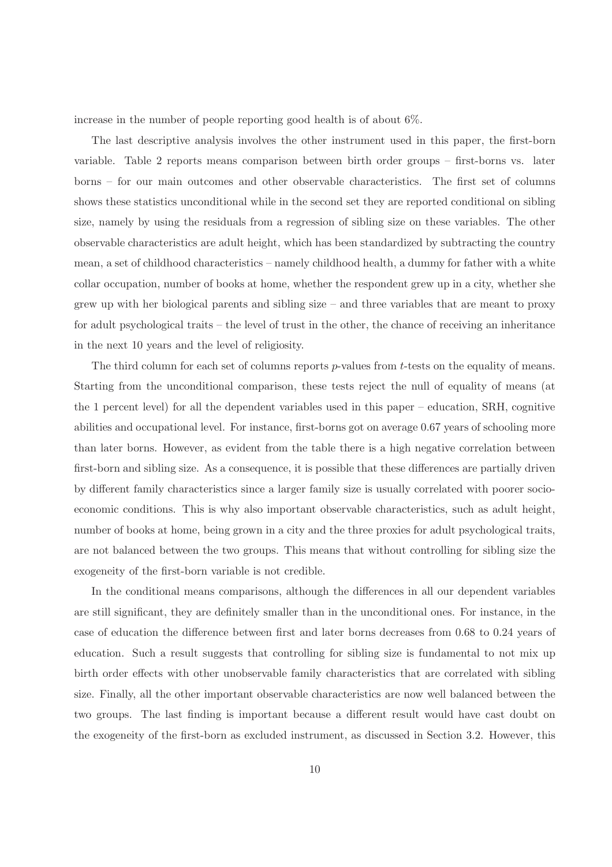increase in the number of people reporting good health is of about 6%.

The last descriptive analysis involves the other instrument used in this paper, the first-born variable. Table 2 reports means comparison between birth order groups – first-borns vs. later borns – for our main outcomes and other observable characteristics. The first set of columns shows these statistics unconditional while in the second set they are reported conditional on sibling size, namely by using the residuals from a regression of sibling size on these variables. The other observable characteristics are adult height, which has been standardized by subtracting the country mean, a set of childhood characteristics – namely childhood health, a dummy for father with a white collar occupation, number of books at home, whether the respondent grew up in a city, whether she grew up with her biological parents and sibling size – and three variables that are meant to proxy for adult psychological traits – the level of trust in the other, the chance of receiving an inheritance in the next 10 years and the level of religiosity.

The third column for each set of columns reports  $p$ -values from  $t$ -tests on the equality of means. Starting from the unconditional comparison, these tests reject the null of equality of means (at the 1 percent level) for all the dependent variables used in this paper – education, SRH, cognitive abilities and occupational level. For instance, first-borns got on average 0.67 years of schooling more than later borns. However, as evident from the table there is a high negative correlation between first-born and sibling size. As a consequence, it is possible that these differences are partially driven by different family characteristics since a larger family size is usually correlated with poorer socioeconomic conditions. This is why also important observable characteristics, such as adult height, number of books at home, being grown in a city and the three proxies for adult psychological traits, are not balanced between the two groups. This means that without controlling for sibling size the exogeneity of the first-born variable is not credible.

In the conditional means comparisons, although the differences in all our dependent variables are still significant, they are definitely smaller than in the unconditional ones. For instance, in the case of education the difference between first and later borns decreases from 0.68 to 0.24 years of education. Such a result suggests that controlling for sibling size is fundamental to not mix up birth order effects with other unobservable family characteristics that are correlated with sibling size. Finally, all the other important observable characteristics are now well balanced between the two groups. The last finding is important because a different result would have cast doubt on the exogeneity of the first-born as excluded instrument, as discussed in Section 3.2. However, this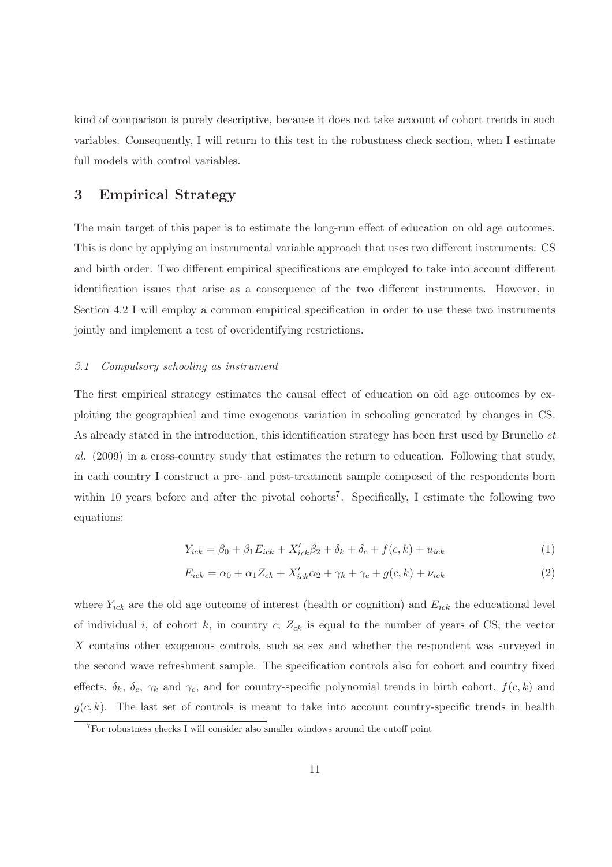kind of comparison is purely descriptive, because it does not take account of cohort trends in such variables. Consequently, I will return to this test in the robustness check section, when I estimate full models with control variables.

## 3 Empirical Strategy

The main target of this paper is to estimate the long-run effect of education on old age outcomes. This is done by applying an instrumental variable approach that uses two different instruments: CS and birth order. Two different empirical specifications are employed to take into account different identification issues that arise as a consequence of the two different instruments. However, in Section 4.2 I will employ a common empirical specification in order to use these two instruments jointly and implement a test of overidentifying restrictions.

### 3.1 Compulsory schooling as instrument

The first empirical strategy estimates the causal effect of education on old age outcomes by exploiting the geographical and time exogenous variation in schooling generated by changes in CS. As already stated in the introduction, this identification strategy has been first used by Brunello et al. (2009) in a cross-country study that estimates the return to education. Following that study, in each country I construct a pre- and post-treatment sample composed of the respondents born within 10 years before and after the pivotal cohorts<sup>7</sup>. Specifically, I estimate the following two equations:

$$
Y_{ick} = \beta_0 + \beta_1 E_{ick} + X'_{ick}\beta_2 + \delta_k + \delta_c + f(c, k) + u_{ick}
$$
 (1)

$$
E_{ick} = \alpha_0 + \alpha_1 Z_{ck} + X'_{ick}\alpha_2 + \gamma_k + \gamma_c + g(c, k) + \nu_{ick}
$$
\n
$$
(2)
$$

where  $Y_{ick}$  are the old age outcome of interest (health or cognition) and  $E_{ick}$  the educational level of individual i, of cohort k, in country c;  $Z_{ck}$  is equal to the number of years of CS; the vector X contains other exogenous controls, such as sex and whether the respondent was surveyed in the second wave refreshment sample. The specification controls also for cohort and country fixed effects,  $\delta_k$ ,  $\delta_c$ ,  $\gamma_k$  and  $\gamma_c$ , and for country-specific polynomial trends in birth cohort,  $f(c, k)$  and  $g(c, k)$ . The last set of controls is meant to take into account country-specific trends in health

<sup>7</sup>For robustness checks I will consider also smaller windows around the cutoff point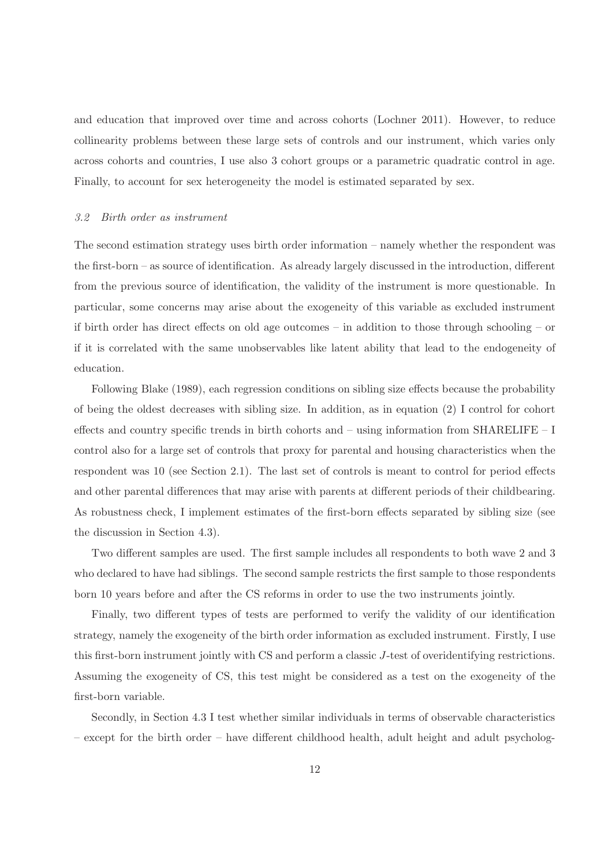and education that improved over time and across cohorts (Lochner 2011). However, to reduce collinearity problems between these large sets of controls and our instrument, which varies only across cohorts and countries, I use also 3 cohort groups or a parametric quadratic control in age. Finally, to account for sex heterogeneity the model is estimated separated by sex.

#### 3.2 Birth order as instrument

The second estimation strategy uses birth order information – namely whether the respondent was the first-born – as source of identification. As already largely discussed in the introduction, different from the previous source of identification, the validity of the instrument is more questionable. In particular, some concerns may arise about the exogeneity of this variable as excluded instrument if birth order has direct effects on old age outcomes – in addition to those through schooling – or if it is correlated with the same unobservables like latent ability that lead to the endogeneity of education.

Following Blake (1989), each regression conditions on sibling size effects because the probability of being the oldest decreases with sibling size. In addition, as in equation (2) I control for cohort effects and country specific trends in birth cohorts and – using information from SHARELIFE – I control also for a large set of controls that proxy for parental and housing characteristics when the respondent was 10 (see Section 2.1). The last set of controls is meant to control for period effects and other parental differences that may arise with parents at different periods of their childbearing. As robustness check, I implement estimates of the first-born effects separated by sibling size (see the discussion in Section 4.3).

Two different samples are used. The first sample includes all respondents to both wave 2 and 3 who declared to have had siblings. The second sample restricts the first sample to those respondents born 10 years before and after the CS reforms in order to use the two instruments jointly.

Finally, two different types of tests are performed to verify the validity of our identification strategy, namely the exogeneity of the birth order information as excluded instrument. Firstly, I use this first-born instrument jointly with CS and perform a classic J-test of overidentifying restrictions. Assuming the exogeneity of CS, this test might be considered as a test on the exogeneity of the first-born variable.

Secondly, in Section 4.3 I test whether similar individuals in terms of observable characteristics – except for the birth order – have different childhood health, adult height and adult psycholog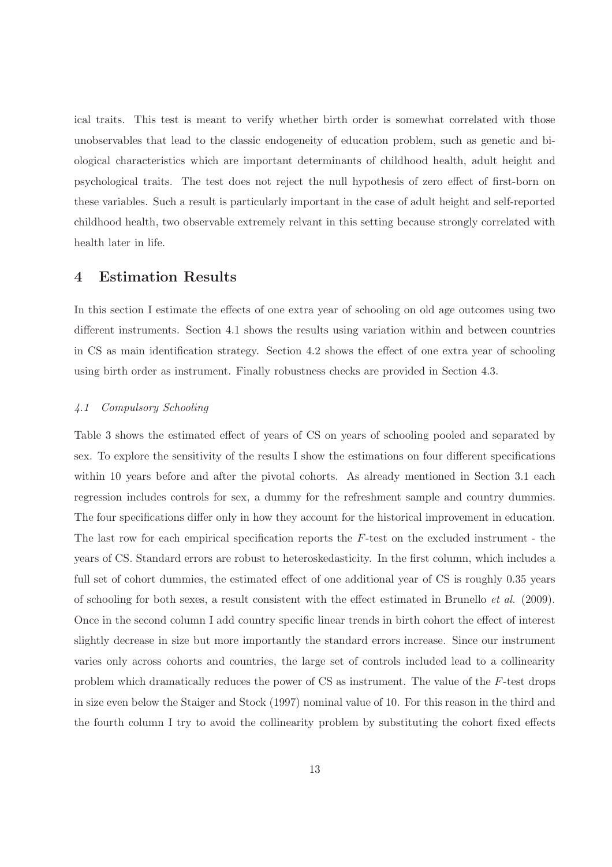ical traits. This test is meant to verify whether birth order is somewhat correlated with those unobservables that lead to the classic endogeneity of education problem, such as genetic and biological characteristics which are important determinants of childhood health, adult height and psychological traits. The test does not reject the null hypothesis of zero effect of first-born on these variables. Such a result is particularly important in the case of adult height and self-reported childhood health, two observable extremely relvant in this setting because strongly correlated with health later in life.

## 4 Estimation Results

In this section I estimate the effects of one extra year of schooling on old age outcomes using two different instruments. Section 4.1 shows the results using variation within and between countries in CS as main identification strategy. Section 4.2 shows the effect of one extra year of schooling using birth order as instrument. Finally robustness checks are provided in Section 4.3.

## 4.1 Compulsory Schooling

Table 3 shows the estimated effect of years of CS on years of schooling pooled and separated by sex. To explore the sensitivity of the results I show the estimations on four different specifications within 10 years before and after the pivotal cohorts. As already mentioned in Section 3.1 each regression includes controls for sex, a dummy for the refreshment sample and country dummies. The four specifications differ only in how they account for the historical improvement in education. The last row for each empirical specification reports the F-test on the excluded instrument - the years of CS. Standard errors are robust to heteroskedasticity. In the first column, which includes a full set of cohort dummies, the estimated effect of one additional year of CS is roughly 0.35 years of schooling for both sexes, a result consistent with the effect estimated in Brunello et al. (2009). Once in the second column I add country specific linear trends in birth cohort the effect of interest slightly decrease in size but more importantly the standard errors increase. Since our instrument varies only across cohorts and countries, the large set of controls included lead to a collinearity problem which dramatically reduces the power of CS as instrument. The value of the F-test drops in size even below the Staiger and Stock (1997) nominal value of 10. For this reason in the third and the fourth column I try to avoid the collinearity problem by substituting the cohort fixed effects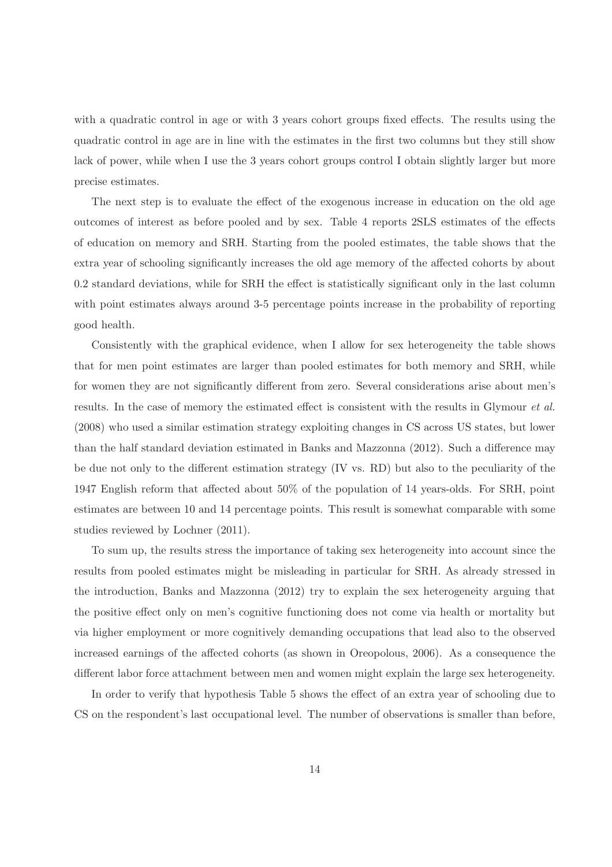with a quadratic control in age or with 3 years cohort groups fixed effects. The results using the quadratic control in age are in line with the estimates in the first two columns but they still show lack of power, while when I use the 3 years cohort groups control I obtain slightly larger but more precise estimates.

The next step is to evaluate the effect of the exogenous increase in education on the old age outcomes of interest as before pooled and by sex. Table 4 reports 2SLS estimates of the effects of education on memory and SRH. Starting from the pooled estimates, the table shows that the extra year of schooling significantly increases the old age memory of the affected cohorts by about 0.2 standard deviations, while for SRH the effect is statistically significant only in the last column with point estimates always around 3-5 percentage points increase in the probability of reporting good health.

Consistently with the graphical evidence, when I allow for sex heterogeneity the table shows that for men point estimates are larger than pooled estimates for both memory and SRH, while for women they are not significantly different from zero. Several considerations arise about men's results. In the case of memory the estimated effect is consistent with the results in Glymour et al. (2008) who used a similar estimation strategy exploiting changes in CS across US states, but lower than the half standard deviation estimated in Banks and Mazzonna (2012). Such a difference may be due not only to the different estimation strategy (IV vs. RD) but also to the peculiarity of the 1947 English reform that affected about 50% of the population of 14 years-olds. For SRH, point estimates are between 10 and 14 percentage points. This result is somewhat comparable with some studies reviewed by Lochner (2011).

To sum up, the results stress the importance of taking sex heterogeneity into account since the results from pooled estimates might be misleading in particular for SRH. As already stressed in the introduction, Banks and Mazzonna (2012) try to explain the sex heterogeneity arguing that the positive effect only on men's cognitive functioning does not come via health or mortality but via higher employment or more cognitively demanding occupations that lead also to the observed increased earnings of the affected cohorts (as shown in Oreopolous, 2006). As a consequence the different labor force attachment between men and women might explain the large sex heterogeneity.

In order to verify that hypothesis Table 5 shows the effect of an extra year of schooling due to CS on the respondent's last occupational level. The number of observations is smaller than before,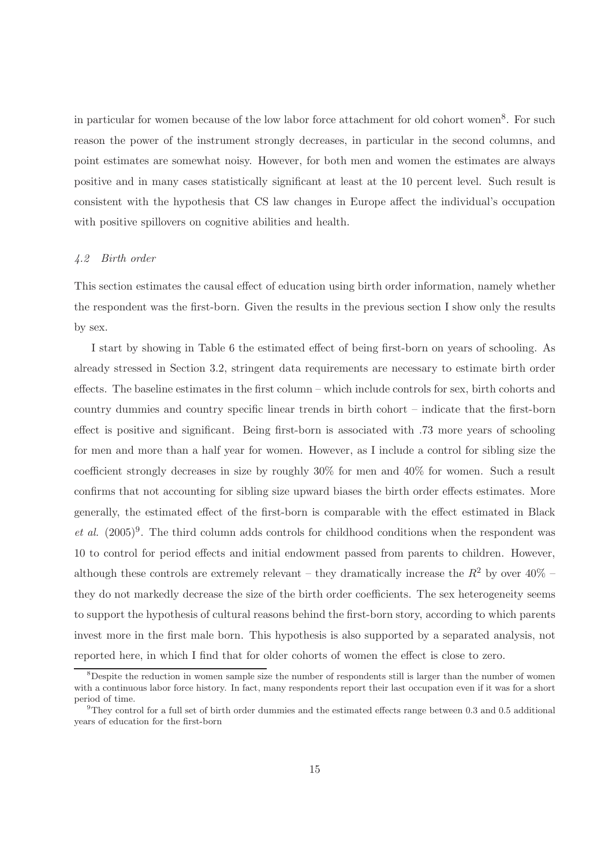in particular for women because of the low labor force attachment for old cohort women<sup>8</sup>. For such reason the power of the instrument strongly decreases, in particular in the second columns, and point estimates are somewhat noisy. However, for both men and women the estimates are always positive and in many cases statistically significant at least at the 10 percent level. Such result is consistent with the hypothesis that CS law changes in Europe affect the individual's occupation with positive spillovers on cognitive abilities and health.

#### 4.2 Birth order

This section estimates the causal effect of education using birth order information, namely whether the respondent was the first-born. Given the results in the previous section I show only the results by sex.

I start by showing in Table 6 the estimated effect of being first-born on years of schooling. As already stressed in Section 3.2, stringent data requirements are necessary to estimate birth order effects. The baseline estimates in the first column – which include controls for sex, birth cohorts and country dummies and country specific linear trends in birth cohort – indicate that the first-born effect is positive and significant. Being first-born is associated with .73 more years of schooling for men and more than a half year for women. However, as I include a control for sibling size the coefficient strongly decreases in size by roughly 30% for men and 40% for women. Such a result confirms that not accounting for sibling size upward biases the birth order effects estimates. More generally, the estimated effect of the first-born is comparable with the effect estimated in Black et al.  $(2005)^9$ . The third column adds controls for childhood conditions when the respondent was 10 to control for period effects and initial endowment passed from parents to children. However, although these controls are extremely relevant – they dramatically increase the  $R^2$  by over  $40\%$  – they do not markedly decrease the size of the birth order coefficients. The sex heterogeneity seems to support the hypothesis of cultural reasons behind the first-born story, according to which parents invest more in the first male born. This hypothesis is also supported by a separated analysis, not reported here, in which I find that for older cohorts of women the effect is close to zero.

 $8$ Despite the reduction in women sample size the number of respondents still is larger than the number of women with a continuous labor force history. In fact, many respondents report their last occupation even if it was for a short period of time.

 $9$ They control for a full set of birth order dummies and the estimated effects range between 0.3 and 0.5 additional years of education for the first-born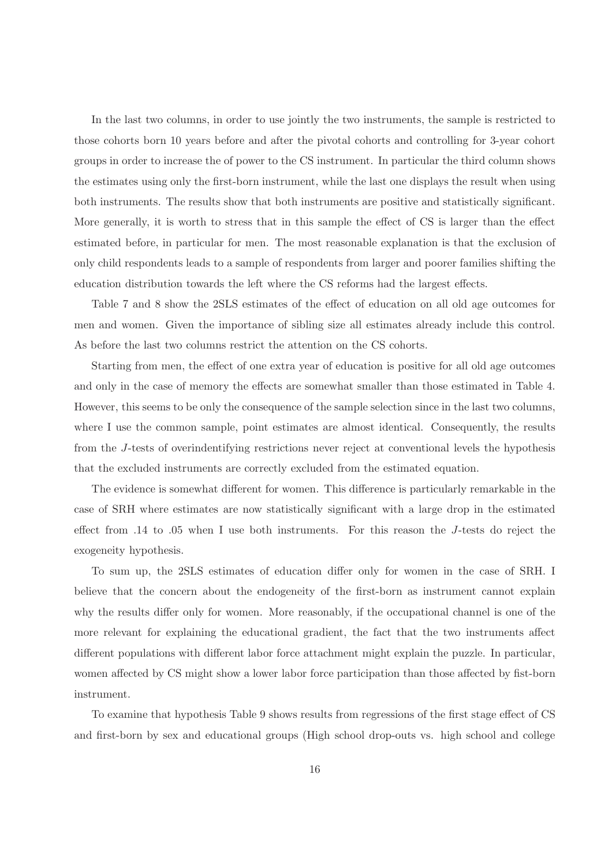In the last two columns, in order to use jointly the two instruments, the sample is restricted to those cohorts born 10 years before and after the pivotal cohorts and controlling for 3-year cohort groups in order to increase the of power to the CS instrument. In particular the third column shows the estimates using only the first-born instrument, while the last one displays the result when using both instruments. The results show that both instruments are positive and statistically significant. More generally, it is worth to stress that in this sample the effect of CS is larger than the effect estimated before, in particular for men. The most reasonable explanation is that the exclusion of only child respondents leads to a sample of respondents from larger and poorer families shifting the education distribution towards the left where the CS reforms had the largest effects.

Table 7 and 8 show the 2SLS estimates of the effect of education on all old age outcomes for men and women. Given the importance of sibling size all estimates already include this control. As before the last two columns restrict the attention on the CS cohorts.

Starting from men, the effect of one extra year of education is positive for all old age outcomes and only in the case of memory the effects are somewhat smaller than those estimated in Table 4. However, this seems to be only the consequence of the sample selection since in the last two columns, where I use the common sample, point estimates are almost identical. Consequently, the results from the J-tests of overindentifying restrictions never reject at conventional levels the hypothesis that the excluded instruments are correctly excluded from the estimated equation.

The evidence is somewhat different for women. This difference is particularly remarkable in the case of SRH where estimates are now statistically significant with a large drop in the estimated effect from .14 to .05 when I use both instruments. For this reason the J-tests do reject the exogeneity hypothesis.

To sum up, the 2SLS estimates of education differ only for women in the case of SRH. I believe that the concern about the endogeneity of the first-born as instrument cannot explain why the results differ only for women. More reasonably, if the occupational channel is one of the more relevant for explaining the educational gradient, the fact that the two instruments affect different populations with different labor force attachment might explain the puzzle. In particular, women affected by CS might show a lower labor force participation than those affected by fist-born instrument.

To examine that hypothesis Table 9 shows results from regressions of the first stage effect of CS and first-born by sex and educational groups (High school drop-outs vs. high school and college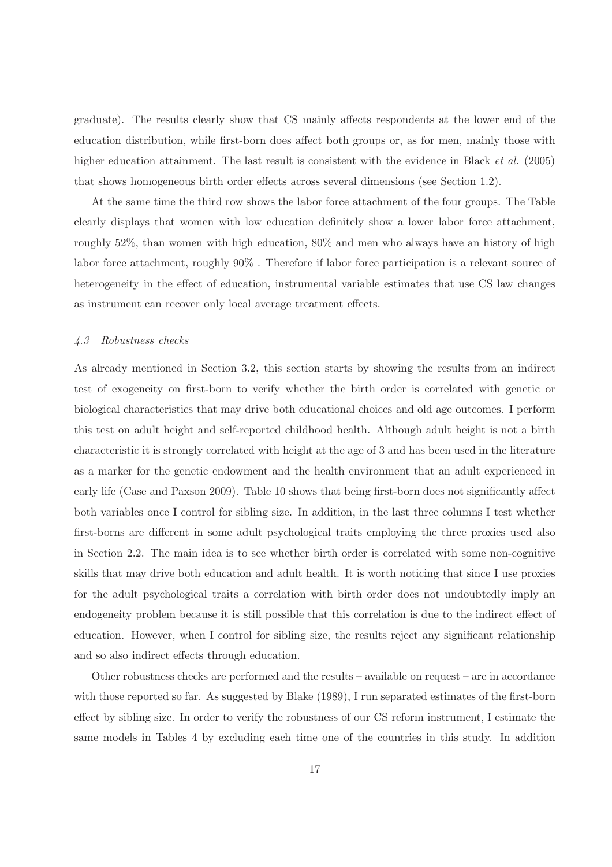graduate). The results clearly show that CS mainly affects respondents at the lower end of the education distribution, while first-born does affect both groups or, as for men, mainly those with higher education attainment. The last result is consistent with the evidence in Black *et al.* (2005) that shows homogeneous birth order effects across several dimensions (see Section 1.2).

At the same time the third row shows the labor force attachment of the four groups. The Table clearly displays that women with low education definitely show a lower labor force attachment, roughly 52%, than women with high education, 80% and men who always have an history of high labor force attachment, roughly 90% . Therefore if labor force participation is a relevant source of heterogeneity in the effect of education, instrumental variable estimates that use CS law changes as instrument can recover only local average treatment effects.

## 4.3 Robustness checks

As already mentioned in Section 3.2, this section starts by showing the results from an indirect test of exogeneity on first-born to verify whether the birth order is correlated with genetic or biological characteristics that may drive both educational choices and old age outcomes. I perform this test on adult height and self-reported childhood health. Although adult height is not a birth characteristic it is strongly correlated with height at the age of 3 and has been used in the literature as a marker for the genetic endowment and the health environment that an adult experienced in early life (Case and Paxson 2009). Table 10 shows that being first-born does not significantly affect both variables once I control for sibling size. In addition, in the last three columns I test whether first-borns are different in some adult psychological traits employing the three proxies used also in Section 2.2. The main idea is to see whether birth order is correlated with some non-cognitive skills that may drive both education and adult health. It is worth noticing that since I use proxies for the adult psychological traits a correlation with birth order does not undoubtedly imply an endogeneity problem because it is still possible that this correlation is due to the indirect effect of education. However, when I control for sibling size, the results reject any significant relationship and so also indirect effects through education.

Other robustness checks are performed and the results – available on request – are in accordance with those reported so far. As suggested by Blake (1989), I run separated estimates of the first-born effect by sibling size. In order to verify the robustness of our CS reform instrument, I estimate the same models in Tables 4 by excluding each time one of the countries in this study. In addition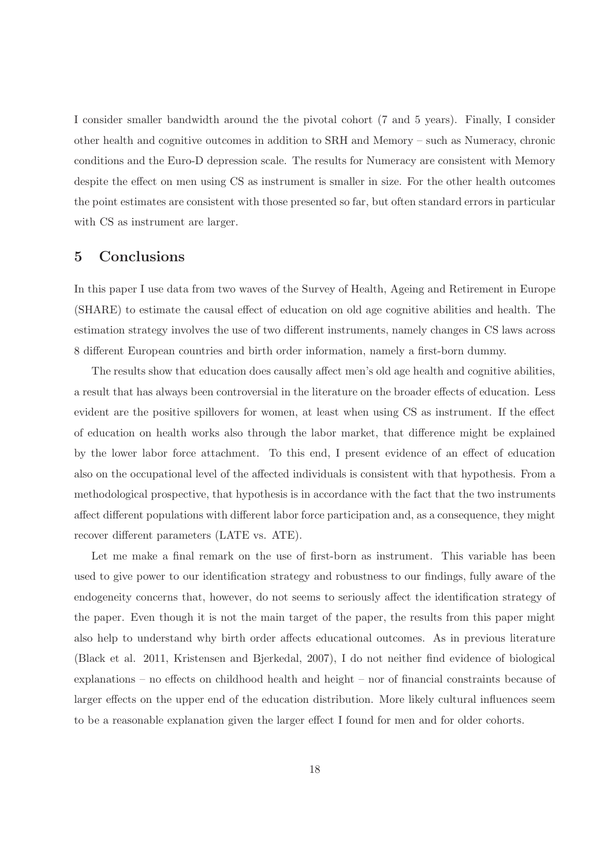I consider smaller bandwidth around the the pivotal cohort (7 and 5 years). Finally, I consider other health and cognitive outcomes in addition to SRH and Memory – such as Numeracy, chronic conditions and the Euro-D depression scale. The results for Numeracy are consistent with Memory despite the effect on men using CS as instrument is smaller in size. For the other health outcomes the point estimates are consistent with those presented so far, but often standard errors in particular with CS as instrument are larger.

## 5 Conclusions

In this paper I use data from two waves of the Survey of Health, Ageing and Retirement in Europe (SHARE) to estimate the causal effect of education on old age cognitive abilities and health. The estimation strategy involves the use of two different instruments, namely changes in CS laws across 8 different European countries and birth order information, namely a first-born dummy.

The results show that education does causally affect men's old age health and cognitive abilities, a result that has always been controversial in the literature on the broader effects of education. Less evident are the positive spillovers for women, at least when using CS as instrument. If the effect of education on health works also through the labor market, that difference might be explained by the lower labor force attachment. To this end, I present evidence of an effect of education also on the occupational level of the affected individuals is consistent with that hypothesis. From a methodological prospective, that hypothesis is in accordance with the fact that the two instruments affect different populations with different labor force participation and, as a consequence, they might recover different parameters (LATE vs. ATE).

Let me make a final remark on the use of first-born as instrument. This variable has been used to give power to our identification strategy and robustness to our findings, fully aware of the endogeneity concerns that, however, do not seems to seriously affect the identification strategy of the paper. Even though it is not the main target of the paper, the results from this paper might also help to understand why birth order affects educational outcomes. As in previous literature (Black et al. 2011, Kristensen and Bjerkedal, 2007), I do not neither find evidence of biological explanations – no effects on childhood health and height – nor of financial constraints because of larger effects on the upper end of the education distribution. More likely cultural influences seem to be a reasonable explanation given the larger effect I found for men and for older cohorts.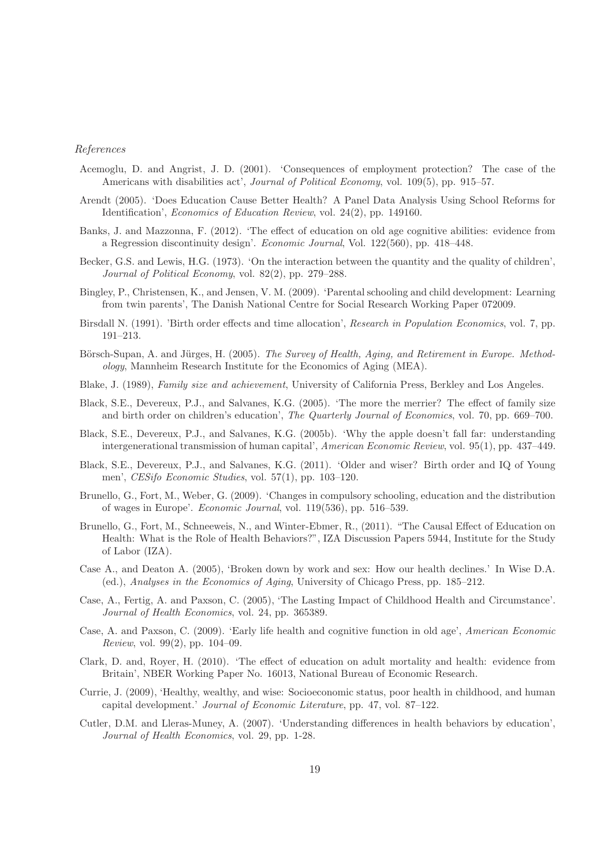#### References

- Acemoglu, D. and Angrist, J. D. (2001). 'Consequences of employment protection? The case of the Americans with disabilities act', *Journal of Political Economy*, vol. 109(5), pp. 915–57.
- Arendt (2005). 'Does Education Cause Better Health? A Panel Data Analysis Using School Reforms for Identification', Economics of Education Review, vol. 24(2), pp. 149160.
- Banks, J. and Mazzonna, F. (2012). 'The effect of education on old age cognitive abilities: evidence from a Regression discontinuity design'. Economic Journal, Vol. 122(560), pp. 418–448.
- Becker, G.S. and Lewis, H.G. (1973). 'On the interaction between the quantity and the quality of children', Journal of Political Economy, vol. 82(2), pp. 279–288.
- Bingley, P., Christensen, K., and Jensen, V. M. (2009). 'Parental schooling and child development: Learning from twin parents', The Danish National Centre for Social Research Working Paper 072009.
- Birsdall N. (1991). 'Birth order effects and time allocation', Research in Population Economics, vol. 7, pp. 191–213.
- Börsch-Supan, A. and Jürges, H. (2005). The Survey of Health, Aging, and Retirement in Europe. Methodology, Mannheim Research Institute for the Economics of Aging (MEA).
- Blake, J. (1989), Family size and achievement, University of California Press, Berkley and Los Angeles.
- Black, S.E., Devereux, P.J., and Salvanes, K.G. (2005). 'The more the merrier? The effect of family size and birth order on children's education', The Quarterly Journal of Economics, vol. 70, pp. 669–700.
- Black, S.E., Devereux, P.J., and Salvanes, K.G. (2005b). 'Why the apple doesn't fall far: understanding intergenerational transmission of human capital', American Economic Review, vol. 95(1), pp. 437–449.
- Black, S.E., Devereux, P.J., and Salvanes, K.G. (2011). 'Older and wiser? Birth order and IQ of Young men', CESifo Economic Studies, vol. 57(1), pp. 103–120.
- Brunello, G., Fort, M., Weber, G. (2009). 'Changes in compulsory schooling, education and the distribution of wages in Europe'. Economic Journal, vol. 119(536), pp. 516–539.
- Brunello, G., Fort, M., Schneeweis, N., and Winter-Ebmer, R., (2011). "The Causal Effect of Education on Health: What is the Role of Health Behaviors?", IZA Discussion Papers 5944, Institute for the Study of Labor (IZA).
- Case A., and Deaton A. (2005), 'Broken down by work and sex: How our health declines.' In Wise D.A. (ed.), Analyses in the Economics of Aging, University of Chicago Press, pp. 185–212.
- Case, A., Fertig, A. and Paxson, C. (2005), 'The Lasting Impact of Childhood Health and Circumstance'. Journal of Health Economics, vol. 24, pp. 365389.
- Case, A. and Paxson, C. (2009). 'Early life health and cognitive function in old age', American Economic *Review*, vol. 99 $(2)$ , pp. 104–09.
- Clark, D. and, Royer, H. (2010). 'The effect of education on adult mortality and health: evidence from Britain', NBER Working Paper No. 16013, National Bureau of Economic Research.
- Currie, J. (2009), 'Healthy, wealthy, and wise: Socioeconomic status, poor health in childhood, and human capital development.' Journal of Economic Literature, pp. 47, vol. 87–122.
- Cutler, D.M. and Lleras-Muney, A. (2007). 'Understanding differences in health behaviors by education', Journal of Health Economics, vol. 29, pp. 1-28.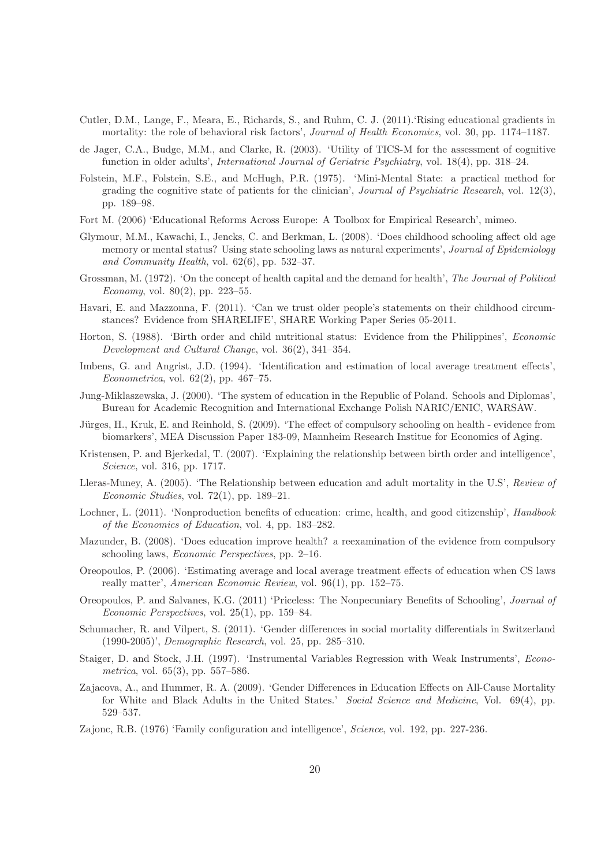- Cutler, D.M., Lange, F., Meara, E., Richards, S., and Ruhm, C. J. (2011).'Rising educational gradients in mortality: the role of behavioral risk factors', *Journal of Health Economics*, vol. 30, pp. 1174–1187.
- de Jager, C.A., Budge, M.M., and Clarke, R. (2003). 'Utility of TICS-M for the assessment of cognitive function in older adults', International Journal of Geriatric Psychiatry, vol. 18(4), pp. 318–24.
- Folstein, M.F., Folstein, S.E., and McHugh, P.R. (1975). 'Mini-Mental State: a practical method for grading the cognitive state of patients for the clinician', Journal of Psychiatric Research, vol. 12(3), pp. 189–98.
- Fort M. (2006) 'Educational Reforms Across Europe: A Toolbox for Empirical Research', mimeo.
- Glymour, M.M., Kawachi, I., Jencks, C. and Berkman, L. (2008). 'Does childhood schooling affect old age memory or mental status? Using state schooling laws as natural experiments', Journal of Epidemiology and Community Health, vol.  $62(6)$ , pp.  $532-37$ .
- Grossman, M. (1972). 'On the concept of health capital and the demand for health', The Journal of Political *Economy*, vol.  $80(2)$ , pp. 223–55.
- Havari, E. and Mazzonna, F. (2011). 'Can we trust older people's statements on their childhood circumstances? Evidence from SHARELIFE', SHARE Working Paper Series 05-2011.
- Horton, S. (1988). 'Birth order and child nutritional status: Evidence from the Philippines', Economic Development and Cultural Change, vol. 36(2), 341–354.
- Imbens, G. and Angrist, J.D. (1994). 'Identification and estimation of local average treatment effects', Econometrica, vol. 62(2), pp. 467–75.
- Jung-Miklaszewska, J. (2000). 'The system of education in the Republic of Poland. Schools and Diplomas', Bureau for Academic Recognition and International Exchange Polish NARIC/ENIC, WARSAW.
- Jürges, H., Kruk, E. and Reinhold, S. (2009). 'The effect of compulsory schooling on health evidence from biomarkers', MEA Discussion Paper 183-09, Mannheim Research Institue for Economics of Aging.
- Kristensen, P. and Bjerkedal, T. (2007). 'Explaining the relationship between birth order and intelligence', Science, vol. 316, pp. 1717.
- Lleras-Muney, A. (2005). 'The Relationship between education and adult mortality in the U.S', Review of Economic Studies, vol. 72(1), pp. 189–21.
- Lochner, L. (2011). 'Nonproduction benefits of education: crime, health, and good citizenship', Handbook of the Economics of Education, vol. 4, pp. 183–282.
- Mazunder, B. (2008). 'Does education improve health? a reexamination of the evidence from compulsory schooling laws, Economic Perspectives, pp. 2–16.
- Oreopoulos, P. (2006). 'Estimating average and local average treatment effects of education when CS laws really matter', American Economic Review, vol. 96(1), pp. 152–75.
- Oreopoulos, P. and Salvanes, K.G. (2011) 'Priceless: The Nonpecuniary Benefits of Schooling', Journal of Economic Perspectives, vol. 25(1), pp. 159–84.
- Schumacher, R. and Vilpert, S. (2011). 'Gender differences in social mortality differentials in Switzerland (1990-2005)', Demographic Research, vol. 25, pp. 285–310.
- Staiger, D. and Stock, J.H. (1997). 'Instrumental Variables Regression with Weak Instruments', Econometrica, vol. 65(3), pp. 557–586.
- Zajacova, A., and Hummer, R. A. (2009). 'Gender Differences in Education Effects on All-Cause Mortality for White and Black Adults in the United States.' Social Science and Medicine, Vol. 69(4), pp. 529–537.
- Zajonc, R.B. (1976) 'Family configuration and intelligence', Science, vol. 192, pp. 227-236.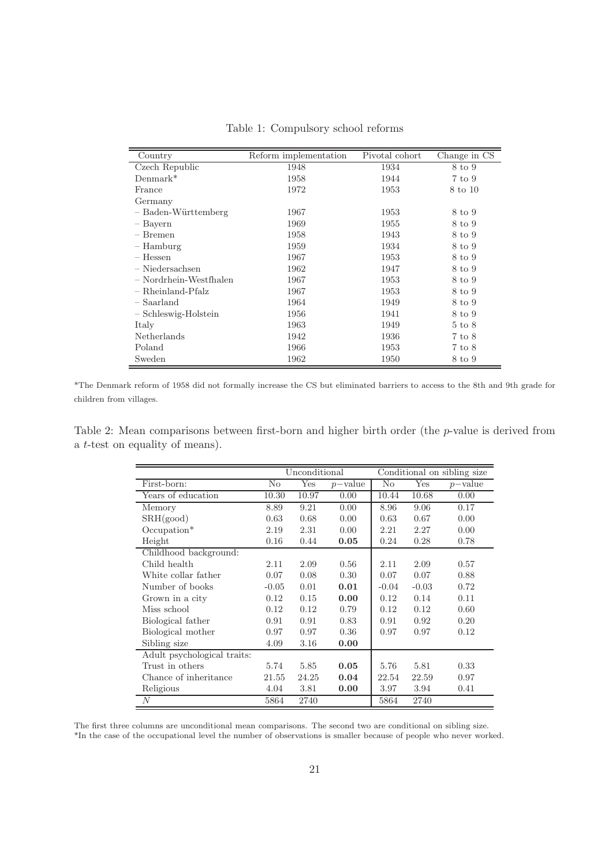| Country                | Reform implementation | Pivotal cohort | Change in CS      |
|------------------------|-----------------------|----------------|-------------------|
| Czech Republic         | 1948                  | 1934           | 8 to 9            |
| $Demmark*$             | 1958                  | 1944           | 7 to 9            |
| France                 | 1972                  | 1953           | 8 to 10           |
| Germany                |                       |                |                   |
| - Baden-Württemberg    | 1967                  | 1953           | 8 to 9            |
| - Bayern               | 1969                  | 1955           | 8 to 9            |
| – Bremen               | 1958                  | 1943           | 8 to 9            |
| – Hamburg              | 1959                  | 1934           | 8 to 9            |
| $-$ Hessen             | 1967                  | 1953           | 8 to 9            |
| $-$ Niedersachsen      | 1962                  | 1947           | 8 to 9            |
| - Nordrhein-Westfhalen | 1967                  | 1953           | 8 to 9            |
| - Rheinland-Pfalz      | 1967                  | 1953           | 8 to 9            |
| - Saarland             | 1964                  | 1949           | 8 to 9            |
| - Schleswig-Holstein   | 1956                  | 1941           | 8 to 9            |
| Italy                  | 1963                  | 1949           | $5 \text{ to } 8$ |
| Netherlands            | 1942                  | 1936           | 7 to 8            |
| Poland                 | 1966                  | 1953           | 7 to 8            |
| Sweden                 | 1962                  | 1950           | 8 to 9            |

Table 1: Compulsory school reforms

\*The Denmark reform of 1958 did not formally increase the CS but eliminated barriers to access to the 8th and 9th grade for children from villages.

Table 2: Mean comparisons between first-born and higher birth order (the p-value is derived from a t-test on equality of means).

|                             |          | Unconditional |            |                |         | Conditional on sibling size |
|-----------------------------|----------|---------------|------------|----------------|---------|-----------------------------|
| First-born:                 | $\rm No$ | Yes           | $p$ -value | N <sub>o</sub> | Yes     | $p$ -value                  |
| Years of education          | 10.30    | 10.97         | 0.00       | 10.44          | 10.68   | 0.00                        |
| Memory                      | 8.89     | 9.21          | 0.00       | 8.96           | 9.06    | 0.17                        |
| SRH(good)                   | 0.63     | 0.68          | 0.00       | 0.63           | 0.67    | 0.00                        |
| $Occupation*$               | 2.19     | 2.31          | 0.00       | 2.21           | 2.27    | 0.00                        |
| Height                      | 0.16     | 0.44          | 0.05       | 0.24           | 0.28    | 0.78                        |
| Childhood background:       |          |               |            |                |         |                             |
| Child health                | 2.11     | 2.09          | 0.56       | 2.11           | 2.09    | 0.57                        |
| White collar father         | 0.07     | 0.08          | 0.30       | 0.07           | 0.07    | 0.88                        |
| Number of books             | $-0.05$  | 0.01          | 0.01       | $-0.04$        | $-0.03$ | 0.72                        |
| Grown in a city             | 0.12     | 0.15          | 0.00       | 0.12           | 0.14    | 0.11                        |
| Miss school                 | 0.12     | 0.12          | 0.79       | 0.12           | 0.12    | 0.60                        |
| Biological father           | 0.91     | 0.91          | 0.83       | 0.91           | 0.92    | 0.20                        |
| Biological mother           | 0.97     | 0.97          | 0.36       | 0.97           | 0.97    | 0.12                        |
| Sibling size                | 4.09     | 3.16          | 0.00       |                |         |                             |
| Adult psychological traits: |          |               |            |                |         |                             |
| Trust in others             | 5.74     | 5.85          | 0.05       | 5.76           | 5.81    | 0.33                        |
| Chance of inheritance       | 21.55    | 24.25         | 0.04       | 22.54          | 22.59   | 0.97                        |
| Religious                   | 4.04     | 3.81          | 0.00       | 3.97           | 3.94    | 0.41                        |
| N                           | 5864     | 2740          |            | 5864           | 2740    |                             |

The first three columns are unconditional mean comparisons. The second two are conditional on sibling size. \*In the case of the occupational level the number of observations is smaller because of people who never worked.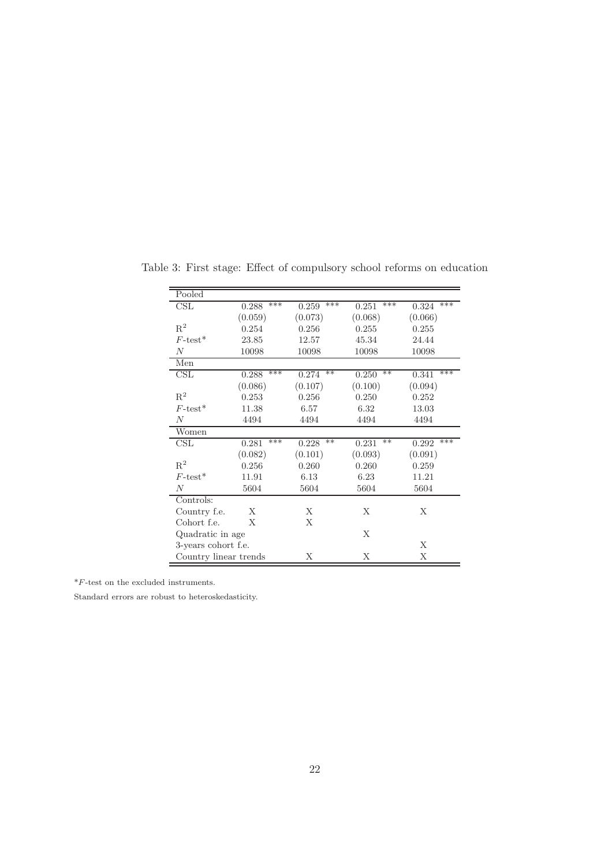| Pooled                |              |                |                |              |
|-----------------------|--------------|----------------|----------------|--------------|
| $\operatorname{CSL}$  | ***<br>0.288 | ***<br>0.259   | ***<br>0.251   | ***<br>0.324 |
|                       | (0.059)      | (0.073)        | (0.068)        | (0.066)      |
| $R^2$                 | 0.254        | 0.256          | 0.255          | 0.255        |
| $F\text{-test}^*$     | 23.85        | 12.57          | 45.34          | 24.44        |
| $\boldsymbol{N}$      | 10098        | 10098          | 10098          | 10098        |
| Men                   |              |                |                |              |
| $\operatorname{CSL}$  | ***<br>0.288 | $**$<br>0.274  | $**$<br>0.250  | ***<br>0.341 |
|                       | (0.086)      | (0.107)        | (0.100)        | (0.094)      |
| $\mathbf{R}^2$        | 0.253        | 0.256          | 0.250          | 0.252        |
| $F\text{-test}^*$     | 11.38        | 6.57           | 6.32           | 13.03        |
| $\boldsymbol{N}$      | 4494         | 4494           | 4494           | 4494         |
| Women                 |              |                |                |              |
| $\text{CSL}$          | ***<br>0.281 | $***$<br>0.228 | $***$<br>0.231 | ***<br>0.292 |
|                       | (0.082)      | (0.101)        | (0.093)        | (0.091)      |
| $R^2$                 | 0.256        | 0.260          | 0.260          | 0.259        |
| $F\text{-test}^*$     | 11.91        | 6.13           | 6.23           | 11.21        |
| $\boldsymbol{N}$      | 5604         | 5604           | 5604           | 5604         |
| Controls:             |              |                |                |              |
| Country f.e.          | X            | X              | X              | X            |
| Cohort f.e.           | X            | Χ              |                |              |
| Quadratic in age      |              |                | X              |              |
| 3-years cohort f.e.   |              |                |                | X            |
| Country linear trends |              | X              | X              | X            |

Table 3: First stage: Effect of compulsory school reforms on education

 $\displaystyle{ \raisebox{0.6ex}{\scriptsize{*}}} F\mbox{-}{\text{test}}$  on the excluded instruments.

Standard errors are robust to heteroskedasticity.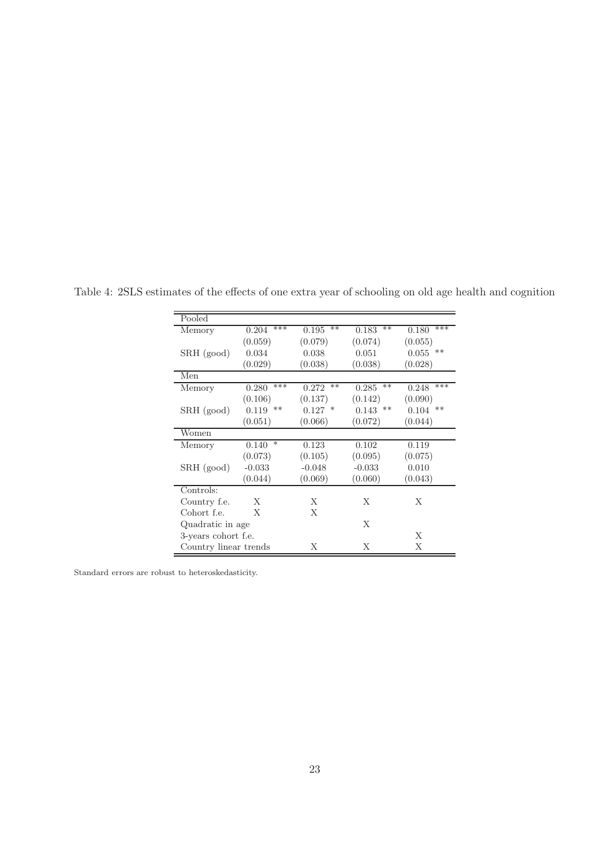| Pooled                |                 |                |                |                |
|-----------------------|-----------------|----------------|----------------|----------------|
| Memory                | ***<br>0.204    | $***$<br>0.195 | $***$<br>0.183 | ***<br>0.180   |
|                       | (0.059)         | (0.079)        | (0.074)        | (0.055)        |
| SRH (good)            | 0.034           | 0.038          | 0.051          | $***$<br>0.055 |
|                       | (0.029)         | (0.038)        | (0.038)        | (0.028)        |
| Men                   |                 |                |                |                |
| Memory                | ***<br>0.280    | $***$<br>0.272 | $**$<br>0.285  | ***<br>0.248   |
|                       | (0.106)         | (0.137)        | (0.142)        | (0.090)        |
| SRH (good)            | **<br>0.119     | $0.127$ *      | $0.143$ **     | **<br>0.104    |
|                       | (0.051)         | (0.066)        | (0.072)        | (0.044)        |
| Women                 |                 |                |                |                |
| Memory                | $\ast$<br>0.140 | 0.123          | 0.102          | 0.119          |
|                       | (0.073)         | (0.105)        | (0.095)        | (0.075)        |
| $SRH$ (good)          | $-0.033$        | $-0.048$       | $-0.033$       | 0.010          |
|                       | (0.044)         | (0.069)        | (0.060)        | (0.043)        |
| Controls:             |                 |                |                |                |
| Country f.e.          | X               | X              | X              | X              |
| Cohort f.e.           | X               | X              |                |                |
| Quadratic in age      |                 |                | X              |                |
| 3-years cohort f.e.   |                 |                |                | X              |
| Country linear trends |                 | X              | X              | X              |

Table 4: 2SLS estimates of the effects of one extra year of schooling on old age health and cognition

Standard errors are robust to heteroskedasticity.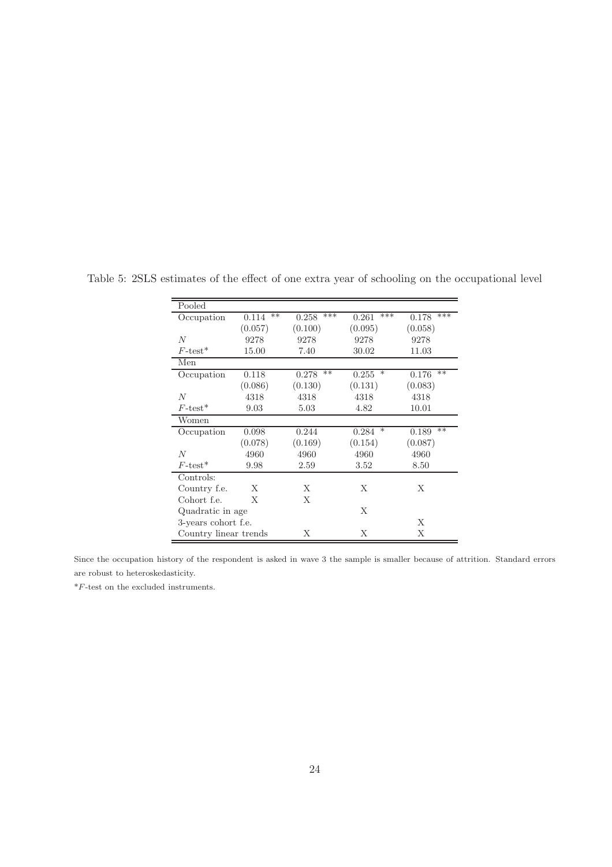| Pooled                 |                |                |                 |               |
|------------------------|----------------|----------------|-----------------|---------------|
|                        |                |                |                 |               |
| Occupation             | $***$<br>0.114 | ***<br>0.258   | ***<br>0.261    | ***<br>0.178  |
|                        | (0.057)        | (0.100)        | (0.095)         | (0.058)       |
| $\overline{N}$         | 9278           | 9278           | 9278            | 9278          |
| $F\text{-test}^*$      | 15.00          | 7.40           | 30.02           | 11.03         |
| Men                    |                |                |                 |               |
| Occupation             | 0.118          | $***$<br>0.278 | $\ast$<br>0.255 | $**$<br>0.176 |
|                        | (0.086)        | (0.130)        | (0.131)         | (0.083)       |
| N                      | 4318           | 4318           | 4318            | 4318          |
| $F$ -test <sup>*</sup> | 9.03           | 5.03           | 4.82            | 10.01         |
| Women                  |                |                |                 |               |
| Occupation             | 0.098          | 0.244          | $\ast$<br>0.284 | $**$<br>0.189 |
|                        | (0.078)        | (0.169)        | (0.154)         | (0.087)       |
| N                      | 4960           | 4960           | 4960            | 4960          |
| $F\text{-test}^*$      | 9.98           | 2.59           | 3.52            | 8.50          |
| Controls:              |                |                |                 |               |
| Country f.e.           | X              | X              | X               | X             |
| Cohort f.e.            | X              | X              |                 |               |
| Quadratic in age       |                |                | Χ               |               |
| 3-years cohort f.e.    |                |                |                 | X             |
| Country linear trends  |                | X              | X               | X             |

Table 5: 2SLS estimates of the effect of one extra year of schooling on the occupational level

Since the occupation history of the respondent is asked in wave 3 the sample is smaller because of attrition. Standard errors are robust to heteroskedasticity.

 $^{\ast }F\text{-test}$  on the excluded instruments.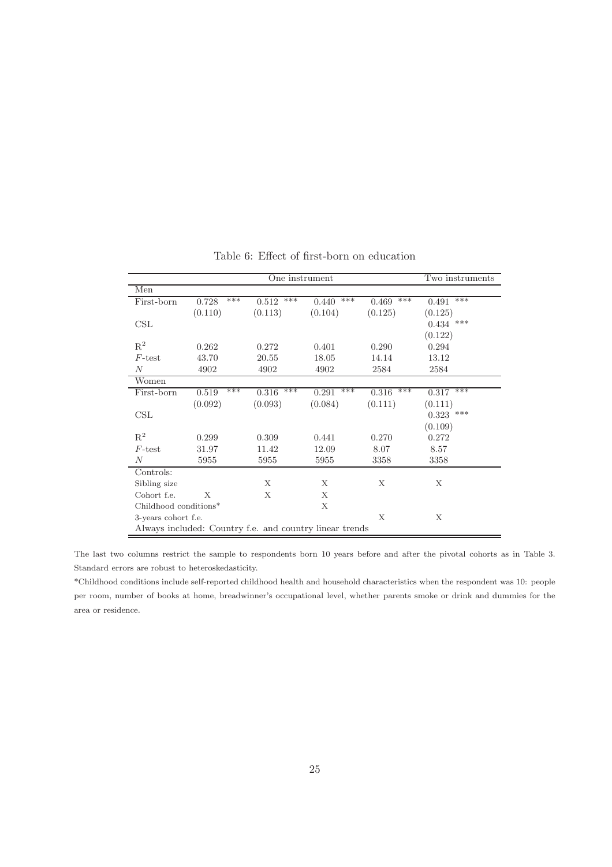| One instrument<br>Two instruments |                                                         |                |                |                |              |  |
|-----------------------------------|---------------------------------------------------------|----------------|----------------|----------------|--------------|--|
| Men                               |                                                         |                |                |                |              |  |
| First-born                        | ***<br>0.728                                            | ***<br>0.512   | $***$<br>0.440 | ***<br>0.469   | ***<br>0.491 |  |
|                                   | (0.110)                                                 | (0.113)        | (0.104)        | (0.125)        | (0.125)      |  |
| $\text{CSL}$                      |                                                         |                |                |                | $0.434$ ***  |  |
|                                   |                                                         |                |                |                | (0.122)      |  |
| $\mathbf{R}^2$                    | 0.262                                                   | 0.272          | 0.401          | 0.290          | 0.294        |  |
| $F$ -test                         | 43.70                                                   | 20.55          | 18.05          | 14.14          | 13.12        |  |
| $\,N$                             | 4902                                                    | 4902           | 4902           | 2584           | 2584         |  |
| Women                             |                                                         |                |                |                |              |  |
| First-born                        | ***<br>0.519                                            | $***$<br>0.316 | ***<br>0.291   | $***$<br>0.316 | ***<br>0.317 |  |
|                                   | (0.092)                                                 | (0.093)        | (0.084)        | (0.111)        | (0.111)      |  |
| $\text{CSL}$                      |                                                         |                |                |                | $0.323$ ***  |  |
|                                   |                                                         |                |                |                | (0.109)      |  |
| $R^2$                             | 0.299                                                   | 0.309          | 0.441          | 0.270          | 0.272        |  |
| $F$ -test                         | 31.97                                                   | 11.42          | 12.09          | 8.07           | 8.57         |  |
| N                                 | 5955                                                    | 5955           | 5955           | 3358           | 3358         |  |
| Controls:                         |                                                         |                |                |                |              |  |
| Sibling size                      |                                                         | Χ              | X              | Х              | Х            |  |
| Cohort f.e.                       | X                                                       | X              | X              |                |              |  |
| Childhood conditions*             |                                                         |                | X              |                |              |  |
| 3-years cohort f.e.               |                                                         |                |                | X              | X            |  |
|                                   | Always included: Country f.e. and country linear trends |                |                |                |              |  |

Table 6: Effect of first-born on education

The last two columns restrict the sample to respondents born 10 years before and after the pivotal cohorts as in Table 3. Standard errors are robust to heteroskedasticity.

\*Childhood conditions include self-reported childhood health and household characteristics when the respondent was 10: people per room, number of books at home, breadwinner's occupational level, whether parents smoke or drink and dummies for the area or residence.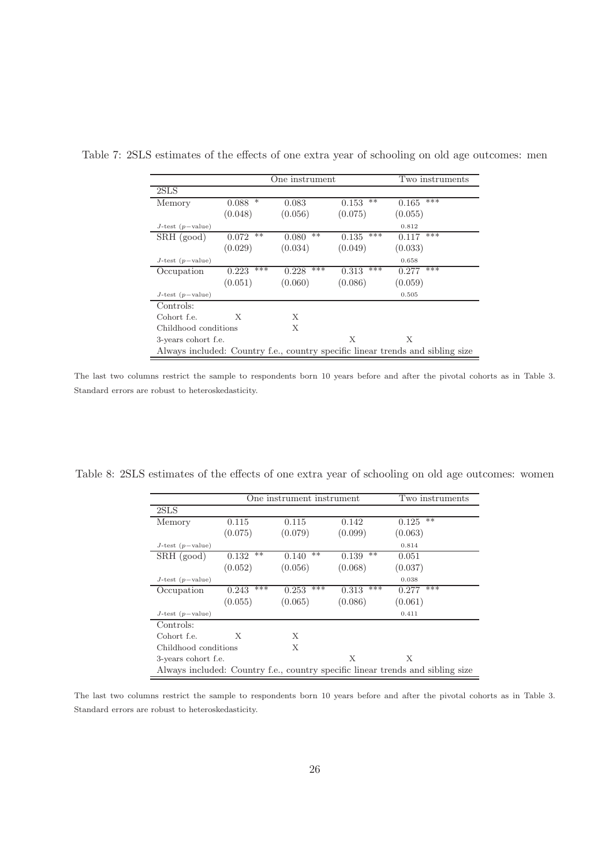|                       |                 | One instrument |                | Two instruments                                                                |
|-----------------------|-----------------|----------------|----------------|--------------------------------------------------------------------------------|
| 2SLS                  |                 |                |                |                                                                                |
| Memory                | $\ast$<br>0.088 | 0.083          | $***$<br>0.153 | ***<br>0.165                                                                   |
|                       | (0.048)         | (0.056)        | (0.075)        | (0.055)                                                                        |
| $J$ -test $(p-value)$ |                 |                |                | 0.812                                                                          |
| $SRH$ (good)          | $**$<br>0.072   | $**$<br>0.080  | ***<br>0.135   | ***<br>0.117                                                                   |
|                       | (0.029)         | (0.034)        | (0.049)        | (0.033)                                                                        |
| $J$ -test $(p-value)$ |                 |                |                | 0.658                                                                          |
| Occupation            | ***<br>0.223    | ***<br>0.228   | ***<br>0.313   | ***<br>0.277                                                                   |
|                       | (0.051)         | (0.060)        | (0.086)        | (0.059)                                                                        |
| $J$ -test (p-value)   |                 |                |                | 0.505                                                                          |
| Controls:             |                 |                |                |                                                                                |
| Cohort f.e.           | X               | X              |                |                                                                                |
| Childhood conditions  |                 | X              |                |                                                                                |
| 3-years cohort f.e.   |                 |                | X              | X                                                                              |
|                       |                 |                |                | Always included: Country f.e., country specific linear trends and sibling size |

Table 7: 2SLS estimates of the effects of one extra year of schooling on old age outcomes: men

The last two columns restrict the sample to respondents born 10 years before and after the pivotal cohorts as in Table 3. Standard errors are robust to heteroskedasticity.

Table 8: 2SLS estimates of the effects of one extra year of schooling on old age outcomes: women

|                       | One instrument instrument<br>Two instruments |                |                |                                                                                |  |  |  |  |
|-----------------------|----------------------------------------------|----------------|----------------|--------------------------------------------------------------------------------|--|--|--|--|
| 2SLS                  |                                              |                |                |                                                                                |  |  |  |  |
| Memory                | 0.115                                        | 0.115          | 0.142          | $***$<br>0.125                                                                 |  |  |  |  |
|                       | (0.075)                                      | (0.079)        | (0.099)        | (0.063)                                                                        |  |  |  |  |
| $J$ -test $(p-value)$ |                                              |                |                | 0.814                                                                          |  |  |  |  |
| SRH (good)            | $***$<br>0.132                               | $***$<br>0.140 | $***$<br>0.139 | 0.051                                                                          |  |  |  |  |
|                       | (0.052)                                      | (0.056)        | (0.068)        | (0.037)                                                                        |  |  |  |  |
| $J$ -test $(p-value)$ |                                              |                |                | 0.038                                                                          |  |  |  |  |
| Occupation            | ***<br>0.243                                 | ***<br>0.253   | ***<br>0.313   | ***<br>0.277                                                                   |  |  |  |  |
|                       | (0.055)                                      | (0.065)        | (0.086)        | (0.061)                                                                        |  |  |  |  |
| $J$ -test $(p-value)$ |                                              |                |                | 0.411                                                                          |  |  |  |  |
| Controls:             |                                              |                |                |                                                                                |  |  |  |  |
| Cohort f.e.           | X                                            | X              |                |                                                                                |  |  |  |  |
| Childhood conditions  |                                              | X              |                |                                                                                |  |  |  |  |
| 3-years cohort f.e.   |                                              |                | X              | X                                                                              |  |  |  |  |
|                       |                                              |                |                | Always included: Country f.e., country specific linear trends and sibling size |  |  |  |  |

The last two columns restrict the sample to respondents born 10 years before and after the pivotal cohorts as in Table 3. Standard errors are robust to heteroskedasticity.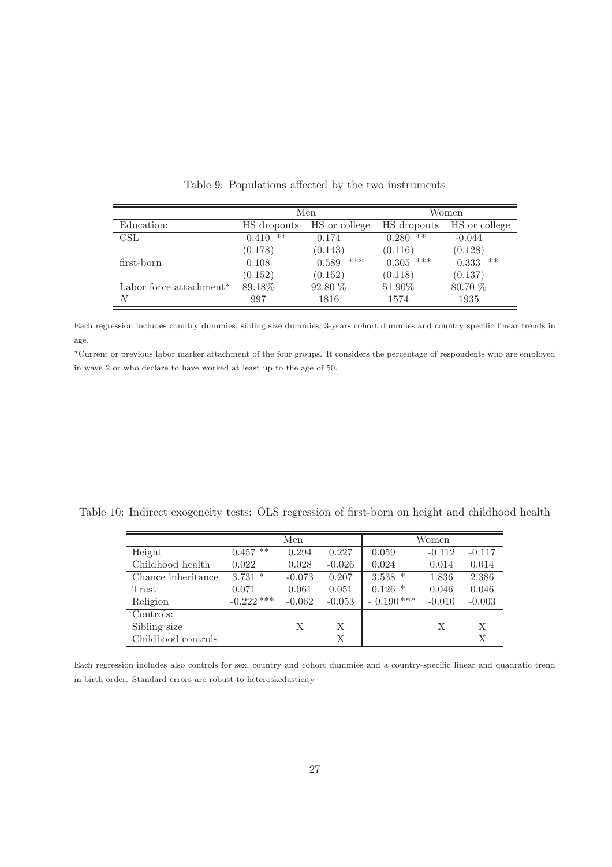|                                     |                | Men           |               | Women         |
|-------------------------------------|----------------|---------------|---------------|---------------|
| Education:                          | HS dropouts    | HS or college | HS dropouts   | HS or college |
| CSL                                 | $***$<br>0.410 | 0.174         | $**$<br>0.280 | $-0.044$      |
|                                     | (0.178)        | (0.143)       | (0.116)       | (0.128)       |
| first-born                          | 0.108          | ***<br>0.589  | 0.305<br>***  | 0.333<br>**   |
|                                     | (0.152)        | (0.152)       | (0.118)       | (0.137)       |
| Labor force attachment <sup>*</sup> | 89.18%         | 92.80 %       | 51.90%        | 80.70 %       |
| N                                   | 997            | 1816          | 1574          | 1935          |

Table 9: Populations affected by the two instruments

Each regression includes country dummies, sibling size dummies, 3-years cohort dummies and country specific linear trends in age.

\*Current or previous labor marker attachment of the four groups. It considers the percentage of respondents who are employed in wave 2 or who declare to have worked at least up to the age of 50.

Table 10: Indirect exogeneity tests: OLS regression of first-born on height and childhood health

|                    |              | Men      |          |             | Women    |          |
|--------------------|--------------|----------|----------|-------------|----------|----------|
| Height             | $0.457**$    | 0.294    | 0.227    | 0.059       | $-0.112$ | $-0.117$ |
| Childhood health   | 0.022        | 0.028    | $-0.026$ | 0.024       | 0.014    | 0.014    |
| Chance inheritance | $3.731*$     | $-0.073$ | 0.207    | $3.538$ *   | 1.836    | 2.386    |
| Trust              | 0.071        | 0.061    | 0.051    | $0.126$ *   | 0.046    | 0.046    |
| Religion           | $-0.222$ *** | $-0.062$ | $-0.053$ | $-0.190***$ | $-0.010$ | $-0.003$ |
| Controls:          |              |          |          |             |          |          |
| Sibling size       |              | X        | X        |             | X        | X        |
| Childhood controls |              |          | Χ        |             |          | Χ        |

Each regression includes also controls for sex, country and cohort dummies and a country-specific linear and quadratic trend in birth order. Standard errors are robust to heteroskedasticity.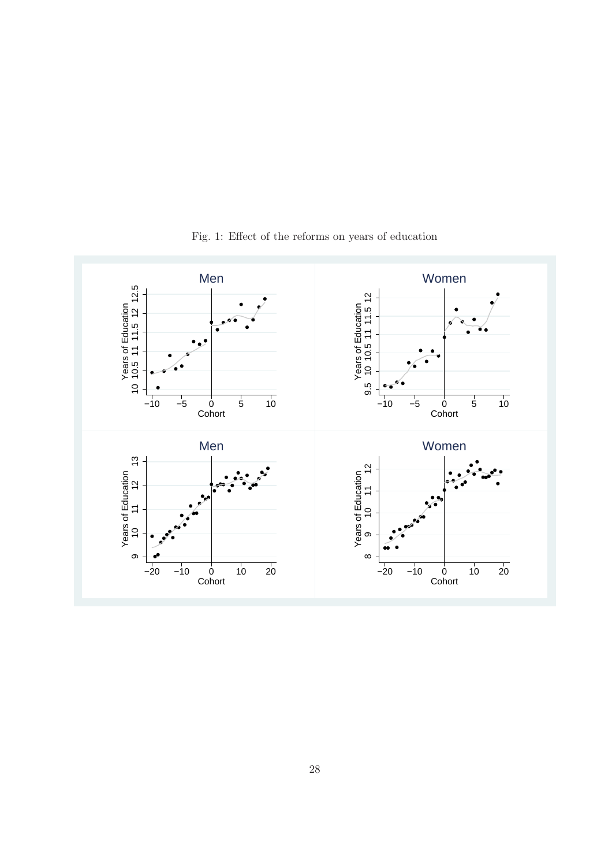

Fig. 1: Effect of the reforms on years of education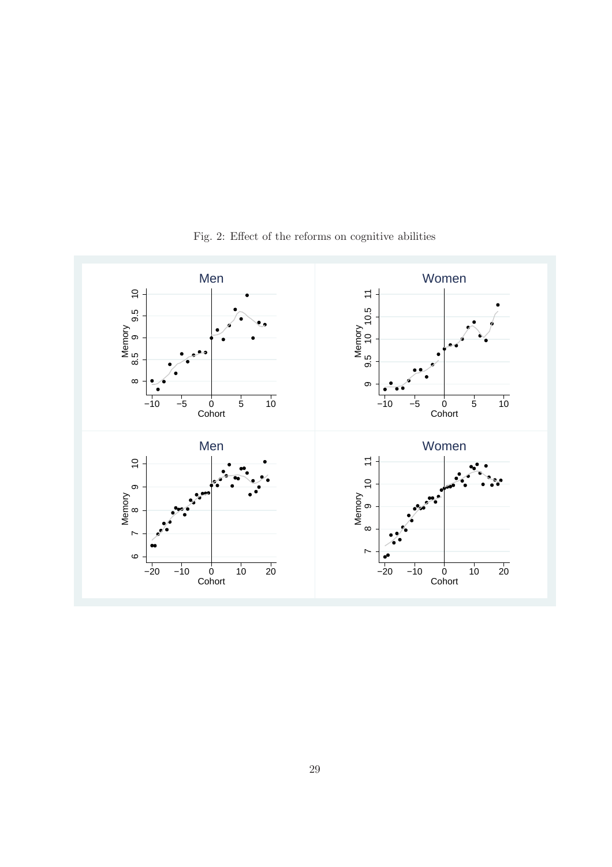

Fig. 2: Effect of the reforms on cognitive abilities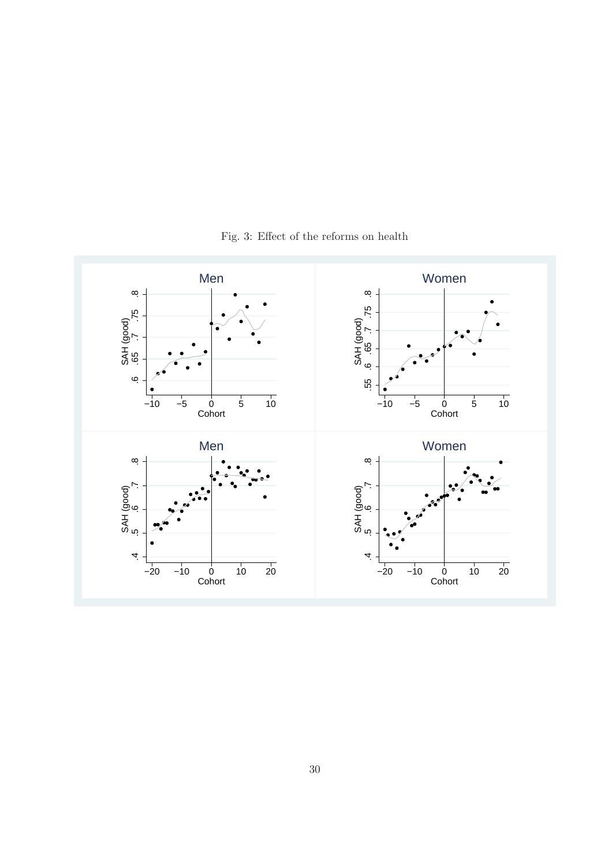

Fig. 3: Effect of the reforms on health